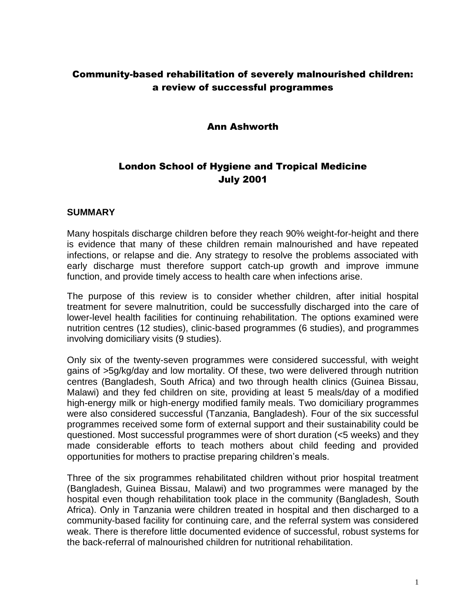## Community-based rehabilitation of severely malnourished children: a review of successful programmes

### Ann Ashworth

# London School of Hygiene and Tropical Medicine July 2001

#### **SUMMARY**

Many hospitals discharge children before they reach 90% weight-for-height and there is evidence that many of these children remain malnourished and have repeated infections, or relapse and die. Any strategy to resolve the problems associated with early discharge must therefore support catch-up growth and improve immune function, and provide timely access to health care when infections arise.

The purpose of this review is to consider whether children, after initial hospital treatment for severe malnutrition, could be successfully discharged into the care of lower-level health facilities for continuing rehabilitation. The options examined were nutrition centres (12 studies), clinic-based programmes (6 studies), and programmes involving domiciliary visits (9 studies).

Only six of the twenty-seven programmes were considered successful, with weight gains of >5g/kg/day and low mortality. Of these, two were delivered through nutrition centres (Bangladesh, South Africa) and two through health clinics (Guinea Bissau, Malawi) and they fed children on site, providing at least 5 meals/day of a modified high-energy milk or high-energy modified family meals. Two domiciliary programmes were also considered successful (Tanzania, Bangladesh). Four of the six successful programmes received some form of external support and their sustainability could be questioned. Most successful programmes were of short duration (<5 weeks) and they made considerable efforts to teach mothers about child feeding and provided opportunities for mothers to practise preparing children's meals.

Three of the six programmes rehabilitated children without prior hospital treatment (Bangladesh, Guinea Bissau, Malawi) and two programmes were managed by the hospital even though rehabilitation took place in the community (Bangladesh, South Africa). Only in Tanzania were children treated in hospital and then discharged to a community-based facility for continuing care, and the referral system was considered weak. There is therefore little documented evidence of successful, robust systems for the back-referral of malnourished children for nutritional rehabilitation.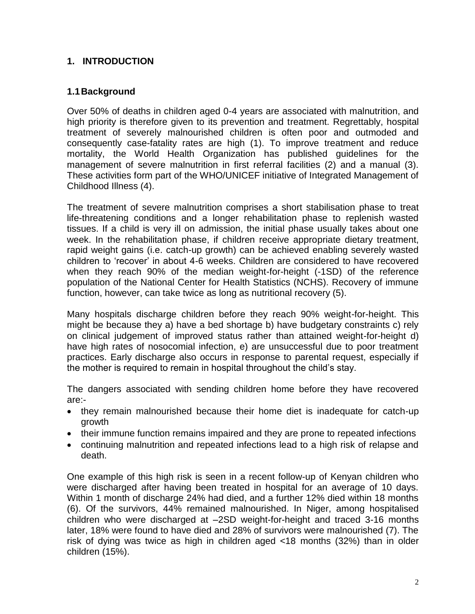## **1. INTRODUCTION**

## **1.1Background**

Over 50% of deaths in children aged 0-4 years are associated with malnutrition, and high priority is therefore given to its prevention and treatment. Regrettably, hospital treatment of severely malnourished children is often poor and outmoded and consequently case-fatality rates are high (1). To improve treatment and reduce mortality, the World Health Organization has published guidelines for the management of severe malnutrition in first referral facilities (2) and a manual (3). These activities form part of the WHO/UNICEF initiative of Integrated Management of Childhood Illness (4).

The treatment of severe malnutrition comprises a short stabilisation phase to treat life-threatening conditions and a longer rehabilitation phase to replenish wasted tissues. If a child is very ill on admission, the initial phase usually takes about one week. In the rehabilitation phase, if children receive appropriate dietary treatment, rapid weight gains (i.e. catch-up growth) can be achieved enabling severely wasted children to 'recover' in about 4-6 weeks. Children are considered to have recovered when they reach 90% of the median weight-for-height (-1SD) of the reference population of the National Center for Health Statistics (NCHS). Recovery of immune function, however, can take twice as long as nutritional recovery (5).

Many hospitals discharge children before they reach 90% weight-for-height. This might be because they a) have a bed shortage b) have budgetary constraints c) rely on clinical judgement of improved status rather than attained weight-for-height d) have high rates of nosocomial infection, e) are unsuccessful due to poor treatment practices. Early discharge also occurs in response to parental request, especially if the mother is required to remain in hospital throughout the child's stay.

The dangers associated with sending children home before they have recovered are:-

- they remain malnourished because their home diet is inadequate for catch-up growth
- their immune function remains impaired and they are prone to repeated infections
- continuing malnutrition and repeated infections lead to a high risk of relapse and death.

One example of this high risk is seen in a recent follow-up of Kenyan children who were discharged after having been treated in hospital for an average of 10 days. Within 1 month of discharge 24% had died, and a further 12% died within 18 months (6). Of the survivors, 44% remained malnourished. In Niger, among hospitalised children who were discharged at –2SD weight-for-height and traced 3-16 months later, 18% were found to have died and 28% of survivors were malnourished (7). The risk of dying was twice as high in children aged <18 months (32%) than in older children (15%).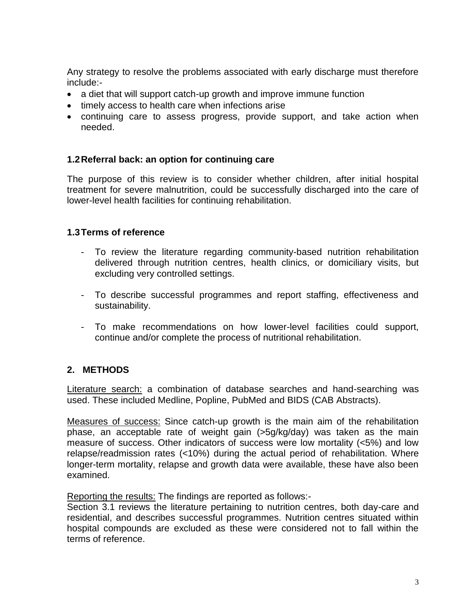Any strategy to resolve the problems associated with early discharge must therefore include:-

- a diet that will support catch-up growth and improve immune function
- timely access to health care when infections arise
- continuing care to assess progress, provide support, and take action when needed.

### **1.2Referral back: an option for continuing care**

The purpose of this review is to consider whether children, after initial hospital treatment for severe malnutrition, could be successfully discharged into the care of lower-level health facilities for continuing rehabilitation.

### **1.3Terms of reference**

- To review the literature regarding community-based nutrition rehabilitation delivered through nutrition centres, health clinics, or domiciliary visits, but excluding very controlled settings.
- To describe successful programmes and report staffing, effectiveness and sustainability.
- To make recommendations on how lower-level facilities could support, continue and/or complete the process of nutritional rehabilitation.

## **2. METHODS**

Literature search: a combination of database searches and hand-searching was used. These included Medline, Popline, PubMed and BIDS (CAB Abstracts).

Measures of success: Since catch-up growth is the main aim of the rehabilitation phase, an acceptable rate of weight gain (>5g/kg/day) was taken as the main measure of success. Other indicators of success were low mortality (<5%) and low relapse/readmission rates (<10%) during the actual period of rehabilitation. Where longer-term mortality, relapse and growth data were available, these have also been examined.

Reporting the results: The findings are reported as follows:-

Section 3.1 reviews the literature pertaining to nutrition centres, both day-care and residential, and describes successful programmes. Nutrition centres situated within hospital compounds are excluded as these were considered not to fall within the terms of reference.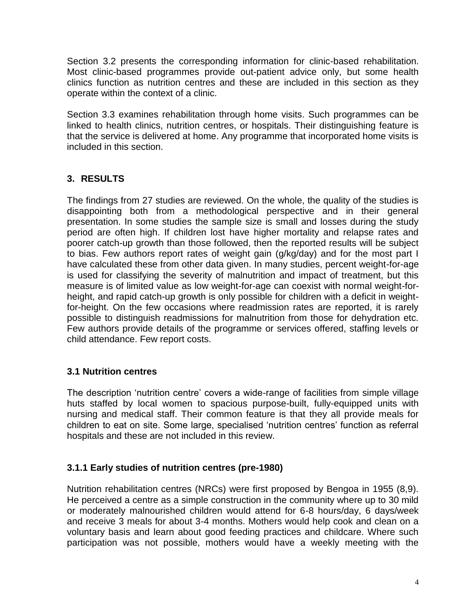Section 3.2 presents the corresponding information for clinic-based rehabilitation. Most clinic-based programmes provide out-patient advice only, but some health clinics function as nutrition centres and these are included in this section as they operate within the context of a clinic.

Section 3.3 examines rehabilitation through home visits. Such programmes can be linked to health clinics, nutrition centres, or hospitals. Their distinguishing feature is that the service is delivered at home. Any programme that incorporated home visits is included in this section.

## **3. RESULTS**

The findings from 27 studies are reviewed. On the whole, the quality of the studies is disappointing both from a methodological perspective and in their general presentation. In some studies the sample size is small and losses during the study period are often high. If children lost have higher mortality and relapse rates and poorer catch-up growth than those followed, then the reported results will be subject to bias. Few authors report rates of weight gain (g/kg/day) and for the most part I have calculated these from other data given. In many studies, percent weight-for-age is used for classifying the severity of malnutrition and impact of treatment, but this measure is of limited value as low weight-for-age can coexist with normal weight-forheight, and rapid catch-up growth is only possible for children with a deficit in weightfor-height. On the few occasions where readmission rates are reported, it is rarely possible to distinguish readmissions for malnutrition from those for dehydration etc. Few authors provide details of the programme or services offered, staffing levels or child attendance. Few report costs.

## **3.1 Nutrition centres**

The description 'nutrition centre' covers a wide-range of facilities from simple village huts staffed by local women to spacious purpose-built, fully-equipped units with nursing and medical staff. Their common feature is that they all provide meals for children to eat on site. Some large, specialised 'nutrition centres' function as referral hospitals and these are not included in this review.

## **3.1.1 Early studies of nutrition centres (pre-1980)**

Nutrition rehabilitation centres (NRCs) were first proposed by Bengoa in 1955 (8,9). He perceived a centre as a simple construction in the community where up to 30 mild or moderately malnourished children would attend for 6-8 hours/day, 6 days/week and receive 3 meals for about 3-4 months. Mothers would help cook and clean on a voluntary basis and learn about good feeding practices and childcare. Where such participation was not possible, mothers would have a weekly meeting with the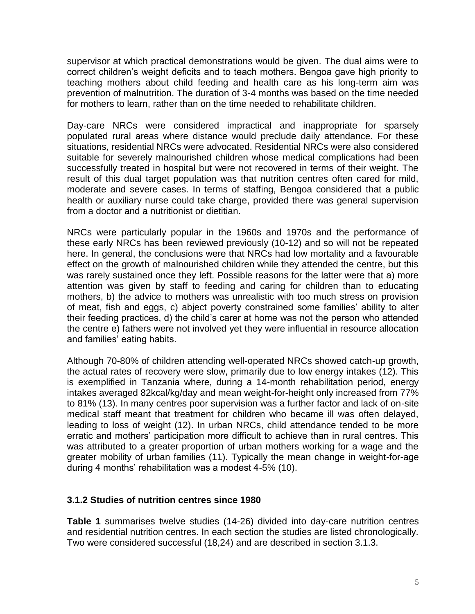supervisor at which practical demonstrations would be given. The dual aims were to correct children's weight deficits and to teach mothers. Bengoa gave high priority to teaching mothers about child feeding and health care as his long-term aim was prevention of malnutrition. The duration of 3-4 months was based on the time needed for mothers to learn, rather than on the time needed to rehabilitate children.

Day-care NRCs were considered impractical and inappropriate for sparsely populated rural areas where distance would preclude daily attendance. For these situations, residential NRCs were advocated. Residential NRCs were also considered suitable for severely malnourished children whose medical complications had been successfully treated in hospital but were not recovered in terms of their weight. The result of this dual target population was that nutrition centres often cared for mild, moderate and severe cases. In terms of staffing, Bengoa considered that a public health or auxiliary nurse could take charge, provided there was general supervision from a doctor and a nutritionist or dietitian.

NRCs were particularly popular in the 1960s and 1970s and the performance of these early NRCs has been reviewed previously (10-12) and so will not be repeated here. In general, the conclusions were that NRCs had low mortality and a favourable effect on the growth of malnourished children while they attended the centre, but this was rarely sustained once they left. Possible reasons for the latter were that a) more attention was given by staff to feeding and caring for children than to educating mothers, b) the advice to mothers was unrealistic with too much stress on provision of meat, fish and eggs, c) abject poverty constrained some families' ability to alter their feeding practices, d) the child's carer at home was not the person who attended the centre e) fathers were not involved yet they were influential in resource allocation and families' eating habits.

Although 70-80% of children attending well-operated NRCs showed catch-up growth, the actual rates of recovery were slow, primarily due to low energy intakes (12). This is exemplified in Tanzania where, during a 14-month rehabilitation period, energy intakes averaged 82kcal/kg/day and mean weight-for-height only increased from 77% to 81% (13). In many centres poor supervision was a further factor and lack of on-site medical staff meant that treatment for children who became ill was often delayed, leading to loss of weight (12). In urban NRCs, child attendance tended to be more erratic and mothers' participation more difficult to achieve than in rural centres. This was attributed to a greater proportion of urban mothers working for a wage and the greater mobility of urban families (11). Typically the mean change in weight-for-age during 4 months' rehabilitation was a modest 4-5% (10).

#### **3.1.2 Studies of nutrition centres since 1980**

**Table 1** summarises twelve studies (14-26) divided into day-care nutrition centres and residential nutrition centres. In each section the studies are listed chronologically. Two were considered successful (18,24) and are described in section 3.1.3.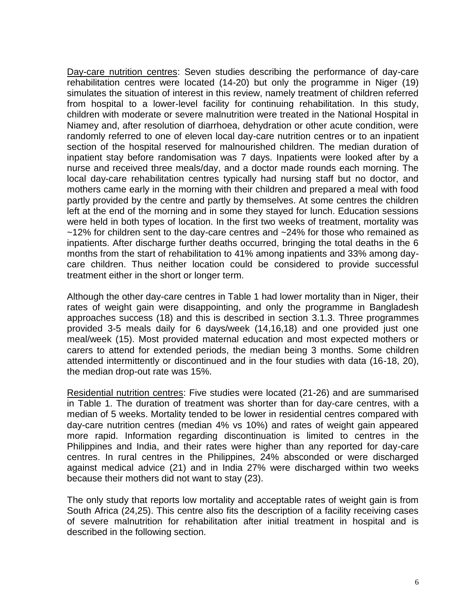Day-care nutrition centres: Seven studies describing the performance of day-care rehabilitation centres were located (14-20) but only the programme in Niger (19) simulates the situation of interest in this review, namely treatment of children referred from hospital to a lower-level facility for continuing rehabilitation. In this study, children with moderate or severe malnutrition were treated in the National Hospital in Niamey and, after resolution of diarrhoea, dehydration or other acute condition, were randomly referred to one of eleven local day-care nutrition centres or to an inpatient section of the hospital reserved for malnourished children. The median duration of inpatient stay before randomisation was 7 days. Inpatients were looked after by a nurse and received three meals/day, and a doctor made rounds each morning. The local day-care rehabilitation centres typically had nursing staff but no doctor, and mothers came early in the morning with their children and prepared a meal with food partly provided by the centre and partly by themselves. At some centres the children left at the end of the morning and in some they stayed for lunch. Education sessions were held in both types of location. In the first two weeks of treatment, mortality was  $~12\%$  for children sent to the day-care centres and  $~24\%$  for those who remained as inpatients. After discharge further deaths occurred, bringing the total deaths in the 6 months from the start of rehabilitation to 41% among inpatients and 33% among daycare children. Thus neither location could be considered to provide successful treatment either in the short or longer term.

Although the other day-care centres in Table 1 had lower mortality than in Niger, their rates of weight gain were disappointing, and only the programme in Bangladesh approaches success (18) and this is described in section 3.1.3. Three programmes provided 3-5 meals daily for 6 days/week (14,16,18) and one provided just one meal/week (15). Most provided maternal education and most expected mothers or carers to attend for extended periods, the median being 3 months. Some children attended intermittently or discontinued and in the four studies with data (16-18, 20), the median drop-out rate was 15%.

Residential nutrition centres: Five studies were located (21-26) and are summarised in Table 1. The duration of treatment was shorter than for day-care centres, with a median of 5 weeks. Mortality tended to be lower in residential centres compared with day-care nutrition centres (median 4% vs 10%) and rates of weight gain appeared more rapid. Information regarding discontinuation is limited to centres in the Philippines and India, and their rates were higher than any reported for day-care centres. In rural centres in the Philippines, 24% absconded or were discharged against medical advice (21) and in India 27% were discharged within two weeks because their mothers did not want to stay (23).

The only study that reports low mortality and acceptable rates of weight gain is from South Africa (24,25). This centre also fits the description of a facility receiving cases of severe malnutrition for rehabilitation after initial treatment in hospital and is described in the following section.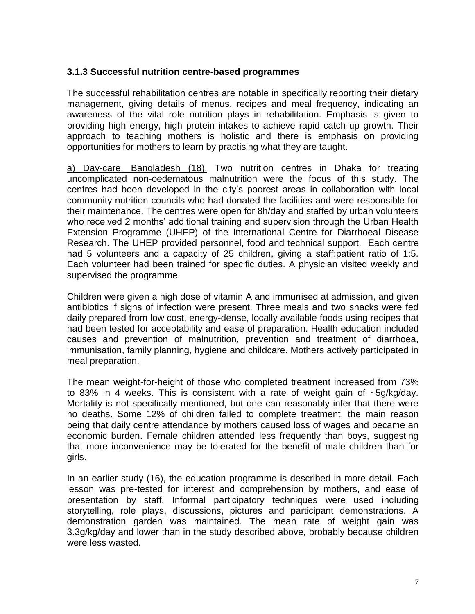### **3.1.3 Successful nutrition centre-based programmes**

The successful rehabilitation centres are notable in specifically reporting their dietary management, giving details of menus, recipes and meal frequency, indicating an awareness of the vital role nutrition plays in rehabilitation. Emphasis is given to providing high energy, high protein intakes to achieve rapid catch-up growth. Their approach to teaching mothers is holistic and there is emphasis on providing opportunities for mothers to learn by practising what they are taught.

a) Day-care, Bangladesh (18). Two nutrition centres in Dhaka for treating uncomplicated non-oedematous malnutrition were the focus of this study. The centres had been developed in the city's poorest areas in collaboration with local community nutrition councils who had donated the facilities and were responsible for their maintenance. The centres were open for 8h/day and staffed by urban volunteers who received 2 months' additional training and supervision through the Urban Health Extension Programme (UHEP) of the International Centre for Diarrhoeal Disease Research. The UHEP provided personnel, food and technical support. Each centre had 5 volunteers and a capacity of 25 children, giving a staff:patient ratio of 1:5. Each volunteer had been trained for specific duties. A physician visited weekly and supervised the programme.

Children were given a high dose of vitamin A and immunised at admission, and given antibiotics if signs of infection were present. Three meals and two snacks were fed daily prepared from low cost, energy-dense, locally available foods using recipes that had been tested for acceptability and ease of preparation. Health education included causes and prevention of malnutrition, prevention and treatment of diarrhoea, immunisation, family planning, hygiene and childcare. Mothers actively participated in meal preparation.

The mean weight-for-height of those who completed treatment increased from 73% to 83% in 4 weeks. This is consistent with a rate of weight gain of ~5g/kg/day. Mortality is not specifically mentioned, but one can reasonably infer that there were no deaths. Some 12% of children failed to complete treatment, the main reason being that daily centre attendance by mothers caused loss of wages and became an economic burden. Female children attended less frequently than boys, suggesting that more inconvenience may be tolerated for the benefit of male children than for girls.

In an earlier study (16), the education programme is described in more detail. Each lesson was pre-tested for interest and comprehension by mothers, and ease of presentation by staff. Informal participatory techniques were used including storytelling, role plays, discussions, pictures and participant demonstrations. A demonstration garden was maintained. The mean rate of weight gain was 3.3g/kg/day and lower than in the study described above, probably because children were less wasted.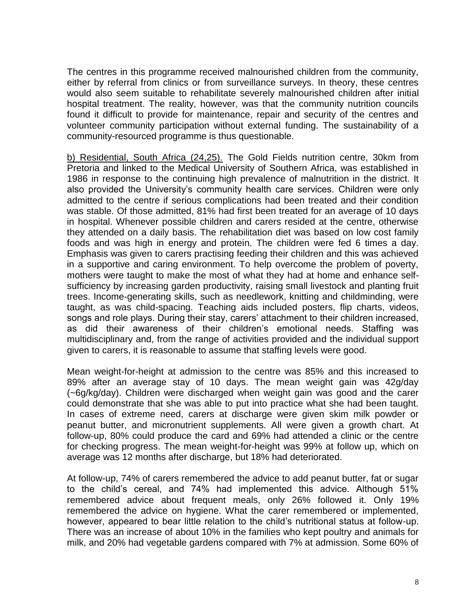The centres in this programme received malnourished children from the community, either by referral from clinics or from surveillance surveys. In theory, these centres would also seem suitable to rehabilitate severely malnourished children after initial hospital treatment. The reality, however, was that the community nutrition councils found it difficult to provide for maintenance, repair and security of the centres and volunteer community participation without external funding. The sustainability of a community-resourced programme is thus questionable.

b) Residential, South Africa (24,25). The Gold Fields nutrition centre, 30km from Pretoria and linked to the Medical University of Southern Africa, was established in 1986 in response to the continuing high prevalence of malnutrition in the district. It also provided the University's community health care services. Children were only admitted to the centre if serious complications had been treated and their condition was stable. Of those admitted, 81% had first been treated for an average of 10 days in hospital. Whenever possible children and carers resided at the centre, otherwise they attended on a daily basis. The rehabilitation diet was based on low cost family foods and was high in energy and protein. The children were fed 6 times a day. Emphasis was given to carers practising feeding their children and this was achieved in a supportive and caring environment. To help overcome the problem of poverty, mothers were taught to make the most of what they had at home and enhance selfsufficiency by increasing garden productivity, raising small livestock and planting fruit trees. Income-generating skills, such as needlework, knitting and childminding, were taught, as was child-spacing. Teaching aids included posters, flip charts, videos, songs and role plays. During their stay, carers' attachment to their children increased, as did their awareness of their children's emotional needs. Staffing was multidisciplinary and, from the range of activities provided and the individual support given to carers, it is reasonable to assume that staffing levels were good.

Mean weight-for-height at admission to the centre was 85% and this increased to 89% after an average stay of 10 days. The mean weight gain was 42g/day (~6g/kg/day). Children were discharged when weight gain was good and the carer could demonstrate that she was able to put into practice what she had been taught. In cases of extreme need, carers at discharge were given skim milk powder or peanut butter, and micronutrient supplements. All were given a growth chart. At follow-up, 80% could produce the card and 69% had attended a clinic or the centre for checking progress. The mean weight-for-height was 99% at follow up, which on average was 12 months after discharge, but 18% had deteriorated.

At follow-up, 74% of carers remembered the advice to add peanut butter, fat or sugar to the child's cereal, and 74% had implemented this advice. Although 51% remembered advice about frequent meals, only 26% followed it. Only 19% remembered the advice on hygiene. What the carer remembered or implemented, however, appeared to bear little relation to the child's nutritional status at follow-up. There was an increase of about 10% in the families who kept poultry and animals for milk, and 20% had vegetable gardens compared with 7% at admission. Some 60% of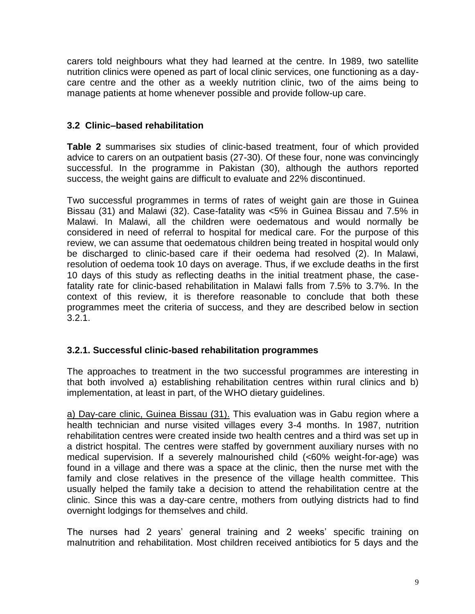carers told neighbours what they had learned at the centre. In 1989, two satellite nutrition clinics were opened as part of local clinic services, one functioning as a daycare centre and the other as a weekly nutrition clinic, two of the aims being to manage patients at home whenever possible and provide follow-up care.

## **3.2 Clinic–based rehabilitation**

**Table 2** summarises six studies of clinic-based treatment, four of which provided advice to carers on an outpatient basis (27-30). Of these four, none was convincingly successful. In the programme in Pakistan (30), although the authors reported success, the weight gains are difficult to evaluate and 22% discontinued.

Two successful programmes in terms of rates of weight gain are those in Guinea Bissau (31) and Malawi (32). Case-fatality was <5% in Guinea Bissau and 7.5% in Malawi. In Malawi, all the children were oedematous and would normally be considered in need of referral to hospital for medical care. For the purpose of this review, we can assume that oedematous children being treated in hospital would only be discharged to clinic-based care if their oedema had resolved (2). In Malawi, resolution of oedema took 10 days on average. Thus, if we exclude deaths in the first 10 days of this study as reflecting deaths in the initial treatment phase, the casefatality rate for clinic-based rehabilitation in Malawi falls from 7.5% to 3.7%. In the context of this review, it is therefore reasonable to conclude that both these programmes meet the criteria of success, and they are described below in section 3.2.1.

## **3.2.1. Successful clinic-based rehabilitation programmes**

The approaches to treatment in the two successful programmes are interesting in that both involved a) establishing rehabilitation centres within rural clinics and b) implementation, at least in part, of the WHO dietary guidelines.

a) Day-care clinic, Guinea Bissau (31). This evaluation was in Gabu region where a health technician and nurse visited villages every 3-4 months. In 1987, nutrition rehabilitation centres were created inside two health centres and a third was set up in a district hospital. The centres were staffed by government auxiliary nurses with no medical supervision. If a severely malnourished child (<60% weight-for-age) was found in a village and there was a space at the clinic, then the nurse met with the family and close relatives in the presence of the village health committee. This usually helped the family take a decision to attend the rehabilitation centre at the clinic. Since this was a day-care centre, mothers from outlying districts had to find overnight lodgings for themselves and child.

The nurses had 2 years' general training and 2 weeks' specific training on malnutrition and rehabilitation. Most children received antibiotics for 5 days and the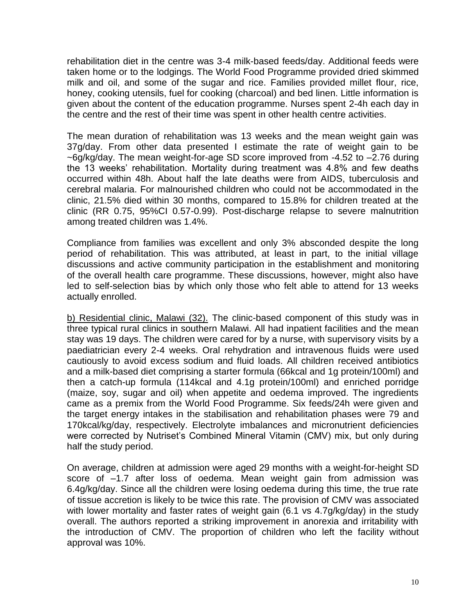rehabilitation diet in the centre was 3-4 milk-based feeds/day. Additional feeds were taken home or to the lodgings. The World Food Programme provided dried skimmed milk and oil, and some of the sugar and rice. Families provided millet flour, rice, honey, cooking utensils, fuel for cooking (charcoal) and bed linen. Little information is given about the content of the education programme. Nurses spent 2-4h each day in the centre and the rest of their time was spent in other health centre activities.

The mean duration of rehabilitation was 13 weeks and the mean weight gain was 37g/day. From other data presented I estimate the rate of weight gain to be ~6g/kg/day. The mean weight-for-age SD score improved from -4.52 to –2.76 during the 13 weeks' rehabilitation. Mortality during treatment was 4.8% and few deaths occurred within 48h. About half the late deaths were from AIDS, tuberculosis and cerebral malaria. For malnourished children who could not be accommodated in the clinic, 21.5% died within 30 months, compared to 15.8% for children treated at the clinic (RR 0.75, 95%CI 0.57-0.99). Post-discharge relapse to severe malnutrition among treated children was 1.4%.

Compliance from families was excellent and only 3% absconded despite the long period of rehabilitation. This was attributed, at least in part, to the initial village discussions and active community participation in the establishment and monitoring of the overall health care programme. These discussions, however, might also have led to self-selection bias by which only those who felt able to attend for 13 weeks actually enrolled.

b) Residential clinic, Malawi (32). The clinic-based component of this study was in three typical rural clinics in southern Malawi. All had inpatient facilities and the mean stay was 19 days. The children were cared for by a nurse, with supervisory visits by a paediatrician every 2-4 weeks. Oral rehydration and intravenous fluids were used cautiously to avoid excess sodium and fluid loads. All children received antibiotics and a milk-based diet comprising a starter formula (66kcal and 1g protein/100ml) and then a catch-up formula (114kcal and 4.1g protein/100ml) and enriched porridge (maize, soy, sugar and oil) when appetite and oedema improved. The ingredients came as a premix from the World Food Programme. Six feeds/24h were given and the target energy intakes in the stabilisation and rehabilitation phases were 79 and 170kcal/kg/day, respectively. Electrolyte imbalances and micronutrient deficiencies were corrected by Nutriset's Combined Mineral Vitamin (CMV) mix, but only during half the study period.

On average, children at admission were aged 29 months with a weight-for-height SD score of –1.7 after loss of oedema. Mean weight gain from admission was 6.4g/kg/day. Since all the children were losing oedema during this time, the true rate of tissue accretion is likely to be twice this rate. The provision of CMV was associated with lower mortality and faster rates of weight gain (6.1 vs 4.7g/kg/day) in the study overall. The authors reported a striking improvement in anorexia and irritability with the introduction of CMV. The proportion of children who left the facility without approval was 10%.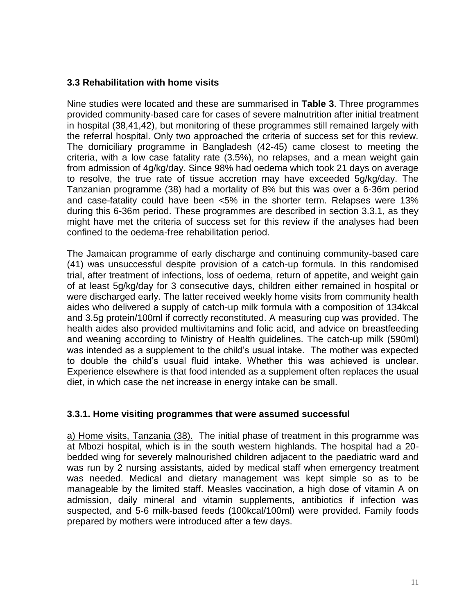### **3.3 Rehabilitation with home visits**

Nine studies were located and these are summarised in **Table 3**. Three programmes provided community-based care for cases of severe malnutrition after initial treatment in hospital (38,41,42), but monitoring of these programmes still remained largely with the referral hospital. Only two approached the criteria of success set for this review. The domiciliary programme in Bangladesh (42-45) came closest to meeting the criteria, with a low case fatality rate (3.5%), no relapses, and a mean weight gain from admission of 4g/kg/day. Since 98% had oedema which took 21 days on average to resolve, the true rate of tissue accretion may have exceeded 5g/kg/day. The Tanzanian programme (38) had a mortality of 8% but this was over a 6-36m period and case-fatality could have been <5% in the shorter term. Relapses were 13% during this 6-36m period. These programmes are described in section 3.3.1, as they might have met the criteria of success set for this review if the analyses had been confined to the oedema-free rehabilitation period.

The Jamaican programme of early discharge and continuing community-based care (41) was unsuccessful despite provision of a catch-up formula. In this randomised trial, after treatment of infections, loss of oedema, return of appetite, and weight gain of at least 5g/kg/day for 3 consecutive days, children either remained in hospital or were discharged early. The latter received weekly home visits from community health aides who delivered a supply of catch-up milk formula with a composition of 134kcal and 3.5g protein/100ml if correctly reconstituted. A measuring cup was provided. The health aides also provided multivitamins and folic acid, and advice on breastfeeding and weaning according to Ministry of Health guidelines. The catch-up milk (590ml) was intended as a supplement to the child's usual intake. The mother was expected to double the child's usual fluid intake. Whether this was achieved is unclear. Experience elsewhere is that food intended as a supplement often replaces the usual diet, in which case the net increase in energy intake can be small.

#### **3.3.1. Home visiting programmes that were assumed successful**

a) Home visits, Tanzania (38). The initial phase of treatment in this programme was at Mbozi hospital, which is in the south western highlands. The hospital had a 20 bedded wing for severely malnourished children adjacent to the paediatric ward and was run by 2 nursing assistants, aided by medical staff when emergency treatment was needed. Medical and dietary management was kept simple so as to be manageable by the limited staff. Measles vaccination, a high dose of vitamin A on admission, daily mineral and vitamin supplements, antibiotics if infection was suspected, and 5-6 milk-based feeds (100kcal/100ml) were provided. Family foods prepared by mothers were introduced after a few days.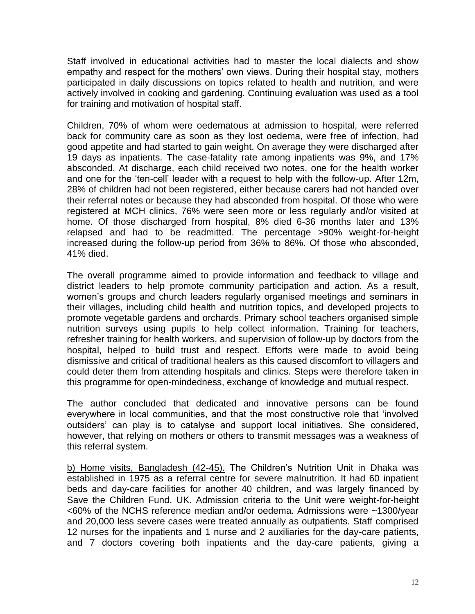Staff involved in educational activities had to master the local dialects and show empathy and respect for the mothers' own views. During their hospital stay, mothers participated in daily discussions on topics related to health and nutrition, and were actively involved in cooking and gardening. Continuing evaluation was used as a tool for training and motivation of hospital staff.

Children, 70% of whom were oedematous at admission to hospital, were referred back for community care as soon as they lost oedema, were free of infection, had good appetite and had started to gain weight. On average they were discharged after 19 days as inpatients. The case-fatality rate among inpatients was 9%, and 17% absconded. At discharge, each child received two notes, one for the health worker and one for the 'ten-cell' leader with a request to help with the follow-up. After 12m, 28% of children had not been registered, either because carers had not handed over their referral notes or because they had absconded from hospital. Of those who were registered at MCH clinics, 76% were seen more or less regularly and/or visited at home. Of those discharged from hospital, 8% died 6-36 months later and 13% relapsed and had to be readmitted. The percentage >90% weight-for-height increased during the follow-up period from 36% to 86%. Of those who absconded, 41% died.

The overall programme aimed to provide information and feedback to village and district leaders to help promote community participation and action. As a result, women's groups and church leaders regularly organised meetings and seminars in their villages, including child health and nutrition topics, and developed projects to promote vegetable gardens and orchards. Primary school teachers organised simple nutrition surveys using pupils to help collect information. Training for teachers, refresher training for health workers, and supervision of follow-up by doctors from the hospital, helped to build trust and respect. Efforts were made to avoid being dismissive and critical of traditional healers as this caused discomfort to villagers and could deter them from attending hospitals and clinics. Steps were therefore taken in this programme for open-mindedness, exchange of knowledge and mutual respect.

The author concluded that dedicated and innovative persons can be found everywhere in local communities, and that the most constructive role that 'involved outsiders' can play is to catalyse and support local initiatives. She considered, however, that relying on mothers or others to transmit messages was a weakness of this referral system.

b) Home visits, Bangladesh (42-45). The Children's Nutrition Unit in Dhaka was established in 1975 as a referral centre for severe malnutrition. It had 60 inpatient beds and day-care facilities for another 40 children, and was largely financed by Save the Children Fund, UK. Admission criteria to the Unit were weight-for-height <60% of the NCHS reference median and/or oedema. Admissions were ~1300/year and 20,000 less severe cases were treated annually as outpatients. Staff comprised 12 nurses for the inpatients and 1 nurse and 2 auxiliaries for the day-care patients, and 7 doctors covering both inpatients and the day-care patients, giving a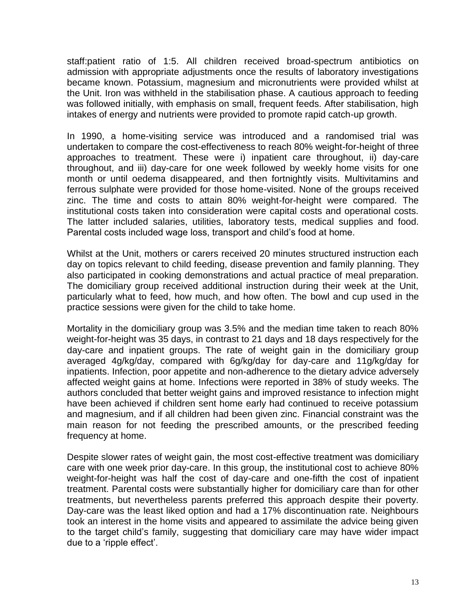staff:patient ratio of 1:5. All children received broad-spectrum antibiotics on admission with appropriate adjustments once the results of laboratory investigations became known. Potassium, magnesium and micronutrients were provided whilst at the Unit. Iron was withheld in the stabilisation phase. A cautious approach to feeding was followed initially, with emphasis on small, frequent feeds. After stabilisation, high intakes of energy and nutrients were provided to promote rapid catch-up growth.

In 1990, a home-visiting service was introduced and a randomised trial was undertaken to compare the cost-effectiveness to reach 80% weight-for-height of three approaches to treatment. These were i) inpatient care throughout, ii) day-care throughout, and iii) day-care for one week followed by weekly home visits for one month or until oedema disappeared, and then fortnightly visits. Multivitamins and ferrous sulphate were provided for those home-visited. None of the groups received zinc. The time and costs to attain 80% weight-for-height were compared. The institutional costs taken into consideration were capital costs and operational costs. The latter included salaries, utilities, laboratory tests, medical supplies and food. Parental costs included wage loss, transport and child's food at home.

Whilst at the Unit, mothers or carers received 20 minutes structured instruction each day on topics relevant to child feeding, disease prevention and family planning. They also participated in cooking demonstrations and actual practice of meal preparation. The domiciliary group received additional instruction during their week at the Unit, particularly what to feed, how much, and how often. The bowl and cup used in the practice sessions were given for the child to take home.

Mortality in the domiciliary group was 3.5% and the median time taken to reach 80% weight-for-height was 35 days, in contrast to 21 days and 18 days respectively for the day-care and inpatient groups. The rate of weight gain in the domiciliary group averaged 4g/kg/day, compared with 6g/kg/day for day-care and 11g/kg/day for inpatients. Infection, poor appetite and non-adherence to the dietary advice adversely affected weight gains at home. Infections were reported in 38% of study weeks. The authors concluded that better weight gains and improved resistance to infection might have been achieved if children sent home early had continued to receive potassium and magnesium, and if all children had been given zinc. Financial constraint was the main reason for not feeding the prescribed amounts, or the prescribed feeding frequency at home.

Despite slower rates of weight gain, the most cost-effective treatment was domiciliary care with one week prior day-care. In this group, the institutional cost to achieve 80% weight-for-height was half the cost of day-care and one-fifth the cost of inpatient treatment. Parental costs were substantially higher for domiciliary care than for other treatments, but nevertheless parents preferred this approach despite their poverty. Day-care was the least liked option and had a 17% discontinuation rate. Neighbours took an interest in the home visits and appeared to assimilate the advice being given to the target child's family, suggesting that domiciliary care may have wider impact due to a 'ripple effect'.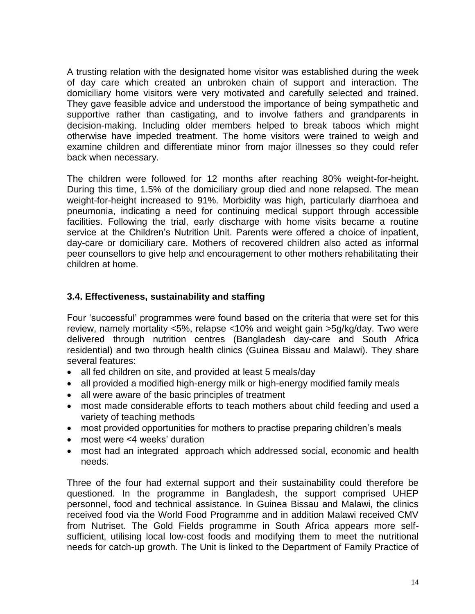A trusting relation with the designated home visitor was established during the week of day care which created an unbroken chain of support and interaction. The domiciliary home visitors were very motivated and carefully selected and trained. They gave feasible advice and understood the importance of being sympathetic and supportive rather than castigating, and to involve fathers and grandparents in decision-making. Including older members helped to break taboos which might otherwise have impeded treatment. The home visitors were trained to weigh and examine children and differentiate minor from major illnesses so they could refer back when necessary.

The children were followed for 12 months after reaching 80% weight-for-height. During this time, 1.5% of the domiciliary group died and none relapsed. The mean weight-for-height increased to 91%. Morbidity was high, particularly diarrhoea and pneumonia, indicating a need for continuing medical support through accessible facilities. Following the trial, early discharge with home visits became a routine service at the Children's Nutrition Unit. Parents were offered a choice of inpatient, day-care or domiciliary care. Mothers of recovered children also acted as informal peer counsellors to give help and encouragement to other mothers rehabilitating their children at home.

### **3.4. Effectiveness, sustainability and staffing**

Four 'successful' programmes were found based on the criteria that were set for this review, namely mortality <5%, relapse <10% and weight gain >5g/kg/day. Two were delivered through nutrition centres (Bangladesh day-care and South Africa residential) and two through health clinics (Guinea Bissau and Malawi). They share several features:

- all fed children on site, and provided at least 5 meals/day
- all provided a modified high-energy milk or high-energy modified family meals
- all were aware of the basic principles of treatment
- most made considerable efforts to teach mothers about child feeding and used a variety of teaching methods
- most provided opportunities for mothers to practise preparing children's meals
- most were <4 weeks' duration
- most had an integrated approach which addressed social, economic and health needs.

Three of the four had external support and their sustainability could therefore be questioned. In the programme in Bangladesh, the support comprised UHEP personnel, food and technical assistance. In Guinea Bissau and Malawi, the clinics received food via the World Food Programme and in addition Malawi received CMV from Nutriset. The Gold Fields programme in South Africa appears more selfsufficient, utilising local low-cost foods and modifying them to meet the nutritional needs for catch-up growth. The Unit is linked to the Department of Family Practice of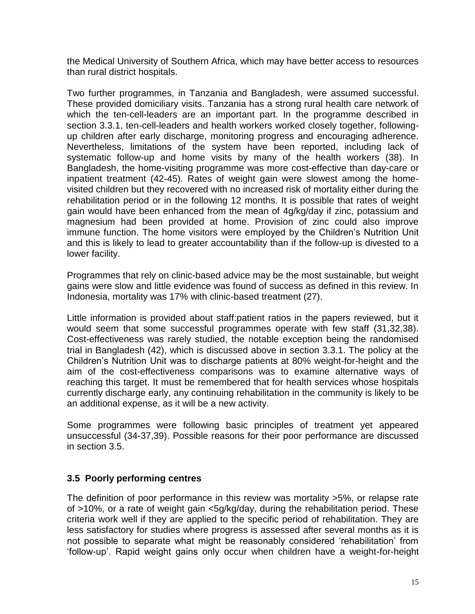the Medical University of Southern Africa, which may have better access to resources than rural district hospitals.

Two further programmes, in Tanzania and Bangladesh, were assumed successful. These provided domiciliary visits. Tanzania has a strong rural health care network of which the ten-cell-leaders are an important part. In the programme described in section 3.3.1, ten-cell-leaders and health workers worked closely together, followingup children after early discharge, monitoring progress and encouraging adherence. Nevertheless, limitations of the system have been reported, including lack of systematic follow-up and home visits by many of the health workers (38). In Bangladesh, the home-visiting programme was more cost-effective than day-care or inpatient treatment (42-45). Rates of weight gain were slowest among the homevisited children but they recovered with no increased risk of mortality either during the rehabilitation period or in the following 12 months. It is possible that rates of weight gain would have been enhanced from the mean of 4g/kg/day if zinc, potassium and magnesium had been provided at home. Provision of zinc could also improve immune function. The home visitors were employed by the Children's Nutrition Unit and this is likely to lead to greater accountability than if the follow-up is divested to a lower facility.

Programmes that rely on clinic-based advice may be the most sustainable, but weight gains were slow and little evidence was found of success as defined in this review. In Indonesia, mortality was 17% with clinic-based treatment (27).

Little information is provided about staff:patient ratios in the papers reviewed, but it would seem that some successful programmes operate with few staff (31,32,38). Cost-effectiveness was rarely studied, the notable exception being the randomised trial in Bangladesh (42), which is discussed above in section 3.3.1. The policy at the Children's Nutrition Unit was to discharge patients at 80% weight-for-height and the aim of the cost-effectiveness comparisons was to examine alternative ways of reaching this target. It must be remembered that for health services whose hospitals currently discharge early, any continuing rehabilitation in the community is likely to be an additional expense, as it will be a new activity.

Some programmes were following basic principles of treatment yet appeared unsuccessful (34-37,39). Possible reasons for their poor performance are discussed in section 3.5.

## **3.5 Poorly performing centres**

The definition of poor performance in this review was mortality >5%, or relapse rate of >10%, or a rate of weight gain <5g/kg/day, during the rehabilitation period. These criteria work well if they are applied to the specific period of rehabilitation. They are less satisfactory for studies where progress is assessed after several months as it is not possible to separate what might be reasonably considered 'rehabilitation' from 'follow-up'. Rapid weight gains only occur when children have a weight-for-height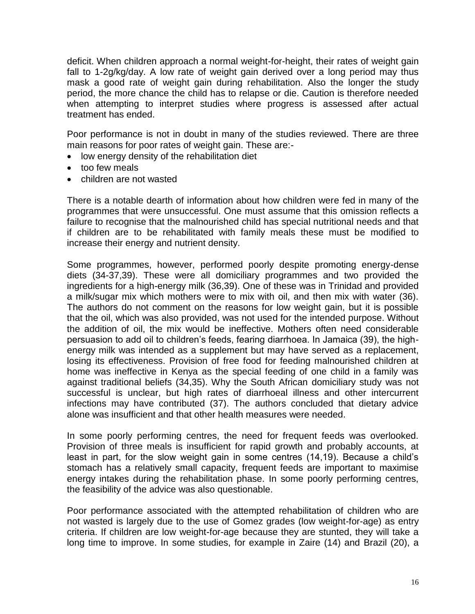deficit. When children approach a normal weight-for-height, their rates of weight gain fall to 1-2g/kg/day. A low rate of weight gain derived over a long period may thus mask a good rate of weight gain during rehabilitation. Also the longer the study period, the more chance the child has to relapse or die. Caution is therefore needed when attempting to interpret studies where progress is assessed after actual treatment has ended.

Poor performance is not in doubt in many of the studies reviewed. There are three main reasons for poor rates of weight gain. These are:-

- low energy density of the rehabilitation diet
- too few meals
- children are not wasted

There is a notable dearth of information about how children were fed in many of the programmes that were unsuccessful. One must assume that this omission reflects a failure to recognise that the malnourished child has special nutritional needs and that if children are to be rehabilitated with family meals these must be modified to increase their energy and nutrient density.

Some programmes, however, performed poorly despite promoting energy-dense diets (34-37,39). These were all domiciliary programmes and two provided the ingredients for a high-energy milk (36,39). One of these was in Trinidad and provided a milk/sugar mix which mothers were to mix with oil, and then mix with water (36). The authors do not comment on the reasons for low weight gain, but it is possible that the oil, which was also provided, was not used for the intended purpose. Without the addition of oil, the mix would be ineffective. Mothers often need considerable persuasion to add oil to children's feeds, fearing diarrhoea. In Jamaica (39), the highenergy milk was intended as a supplement but may have served as a replacement, losing its effectiveness. Provision of free food for feeding malnourished children at home was ineffective in Kenya as the special feeding of one child in a family was against traditional beliefs (34,35). Why the South African domiciliary study was not successful is unclear, but high rates of diarrhoeal illness and other intercurrent infections may have contributed (37). The authors concluded that dietary advice alone was insufficient and that other health measures were needed.

In some poorly performing centres, the need for frequent feeds was overlooked. Provision of three meals is insufficient for rapid growth and probably accounts, at least in part, for the slow weight gain in some centres (14,19). Because a child's stomach has a relatively small capacity, frequent feeds are important to maximise energy intakes during the rehabilitation phase. In some poorly performing centres, the feasibility of the advice was also questionable.

Poor performance associated with the attempted rehabilitation of children who are not wasted is largely due to the use of Gomez grades (low weight-for-age) as entry criteria. If children are low weight-for-age because they are stunted, they will take a long time to improve. In some studies, for example in Zaire (14) and Brazil (20), a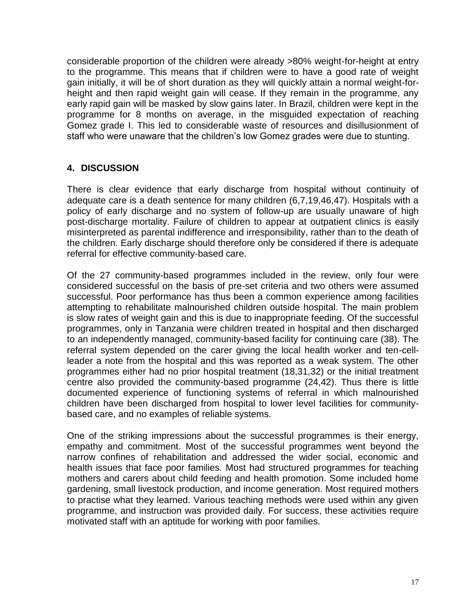considerable proportion of the children were already >80% weight-for-height at entry to the programme. This means that if children were to have a good rate of weight gain initially, it will be of short duration as they will quickly attain a normal weight-forheight and then rapid weight gain will cease. If they remain in the programme, any early rapid gain will be masked by slow gains later. In Brazil, children were kept in the programme for 8 months on average, in the misguided expectation of reaching Gomez grade I. This led to considerable waste of resources and disillusionment of staff who were unaware that the children's low Gomez grades were due to stunting.

### **4. DISCUSSION**

There is clear evidence that early discharge from hospital without continuity of adequate care is a death sentence for many children (6,7,19,46,47). Hospitals with a policy of early discharge and no system of follow-up are usually unaware of high post-discharge mortality. Failure of children to appear at outpatient clinics is easily misinterpreted as parental indifference and irresponsibility, rather than to the death of the children. Early discharge should therefore only be considered if there is adequate referral for effective community-based care.

Of the 27 community-based programmes included in the review, only four were considered successful on the basis of pre-set criteria and two others were assumed successful. Poor performance has thus been a common experience among facilities attempting to rehabilitate malnourished children outside hospital. The main problem is slow rates of weight gain and this is due to inappropriate feeding. Of the successful programmes, only in Tanzania were children treated in hospital and then discharged to an independently managed, community-based facility for continuing care (38). The referral system depended on the carer giving the local health worker and ten-cellleader a note from the hospital and this was reported as a weak system. The other programmes either had no prior hospital treatment (18,31,32) or the initial treatment centre also provided the community-based programme (24,42). Thus there is little documented experience of functioning systems of referral in which malnourished children have been discharged from hospital to lower level facilities for communitybased care, and no examples of reliable systems.

One of the striking impressions about the successful programmes is their energy, empathy and commitment. Most of the successful programmes went beyond the narrow confines of rehabilitation and addressed the wider social, economic and health issues that face poor families. Most had structured programmes for teaching mothers and carers about child feeding and health promotion. Some included home gardening, small livestock production, and income generation. Most required mothers to practise what they learned. Various teaching methods were used within any given programme, and instruction was provided daily. For success, these activities require motivated staff with an aptitude for working with poor families.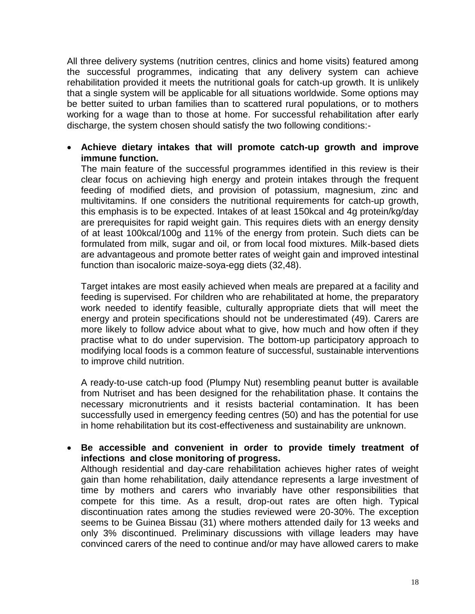All three delivery systems (nutrition centres, clinics and home visits) featured among the successful programmes, indicating that any delivery system can achieve rehabilitation provided it meets the nutritional goals for catch-up growth. It is unlikely that a single system will be applicable for all situations worldwide. Some options may be better suited to urban families than to scattered rural populations, or to mothers working for a wage than to those at home. For successful rehabilitation after early discharge, the system chosen should satisfy the two following conditions:-

 **Achieve dietary intakes that will promote catch-up growth and improve immune function.**

The main feature of the successful programmes identified in this review is their clear focus on achieving high energy and protein intakes through the frequent feeding of modified diets, and provision of potassium, magnesium, zinc and multivitamins. If one considers the nutritional requirements for catch-up growth, this emphasis is to be expected. Intakes of at least 150kcal and 4g protein/kg/day are prerequisites for rapid weight gain. This requires diets with an energy density of at least 100kcal/100g and 11% of the energy from protein. Such diets can be formulated from milk, sugar and oil, or from local food mixtures. Milk-based diets are advantageous and promote better rates of weight gain and improved intestinal function than isocaloric maize-soya-egg diets (32,48).

Target intakes are most easily achieved when meals are prepared at a facility and feeding is supervised. For children who are rehabilitated at home, the preparatory work needed to identify feasible, culturally appropriate diets that will meet the energy and protein specifications should not be underestimated (49). Carers are more likely to follow advice about what to give, how much and how often if they practise what to do under supervision. The bottom-up participatory approach to modifying local foods is a common feature of successful, sustainable interventions to improve child nutrition.

A ready-to-use catch-up food (Plumpy Nut) resembling peanut butter is available from Nutriset and has been designed for the rehabilitation phase. It contains the necessary micronutrients and it resists bacterial contamination. It has been successfully used in emergency feeding centres (50) and has the potential for use in home rehabilitation but its cost-effectiveness and sustainability are unknown.

 **Be accessible and convenient in order to provide timely treatment of infections and close monitoring of progress.** 

Although residential and day-care rehabilitation achieves higher rates of weight gain than home rehabilitation, daily attendance represents a large investment of time by mothers and carers who invariably have other responsibilities that compete for this time. As a result, drop-out rates are often high. Typical discontinuation rates among the studies reviewed were 20-30%. The exception seems to be Guinea Bissau (31) where mothers attended daily for 13 weeks and only 3% discontinued. Preliminary discussions with village leaders may have convinced carers of the need to continue and/or may have allowed carers to make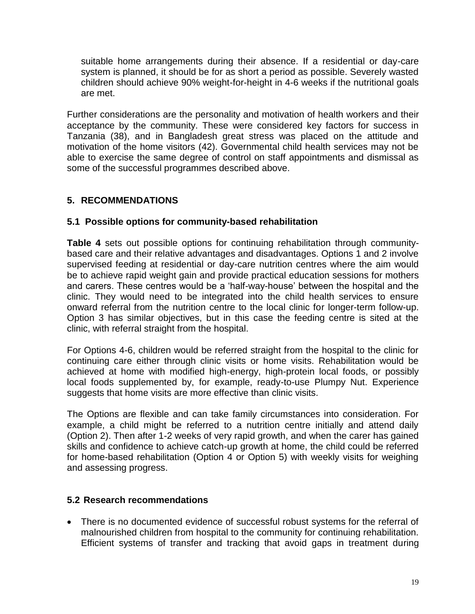suitable home arrangements during their absence. If a residential or day-care system is planned, it should be for as short a period as possible. Severely wasted children should achieve 90% weight-for-height in 4-6 weeks if the nutritional goals are met.

Further considerations are the personality and motivation of health workers and their acceptance by the community. These were considered key factors for success in Tanzania (38), and in Bangladesh great stress was placed on the attitude and motivation of the home visitors (42). Governmental child health services may not be able to exercise the same degree of control on staff appointments and dismissal as some of the successful programmes described above.

## **5. RECOMMENDATIONS**

### **5.1 Possible options for community-based rehabilitation**

**Table 4** sets out possible options for continuing rehabilitation through communitybased care and their relative advantages and disadvantages. Options 1 and 2 involve supervised feeding at residential or day-care nutrition centres where the aim would be to achieve rapid weight gain and provide practical education sessions for mothers and carers. These centres would be a 'half-way-house' between the hospital and the clinic. They would need to be integrated into the child health services to ensure onward referral from the nutrition centre to the local clinic for longer-term follow-up. Option 3 has similar objectives, but in this case the feeding centre is sited at the clinic, with referral straight from the hospital.

For Options 4-6, children would be referred straight from the hospital to the clinic for continuing care either through clinic visits or home visits. Rehabilitation would be achieved at home with modified high-energy, high-protein local foods, or possibly local foods supplemented by, for example, ready-to-use Plumpy Nut. Experience suggests that home visits are more effective than clinic visits.

The Options are flexible and can take family circumstances into consideration. For example, a child might be referred to a nutrition centre initially and attend daily (Option 2). Then after 1-2 weeks of very rapid growth, and when the carer has gained skills and confidence to achieve catch-up growth at home, the child could be referred for home-based rehabilitation (Option 4 or Option 5) with weekly visits for weighing and assessing progress.

## **5.2 Research recommendations**

 There is no documented evidence of successful robust systems for the referral of malnourished children from hospital to the community for continuing rehabilitation. Efficient systems of transfer and tracking that avoid gaps in treatment during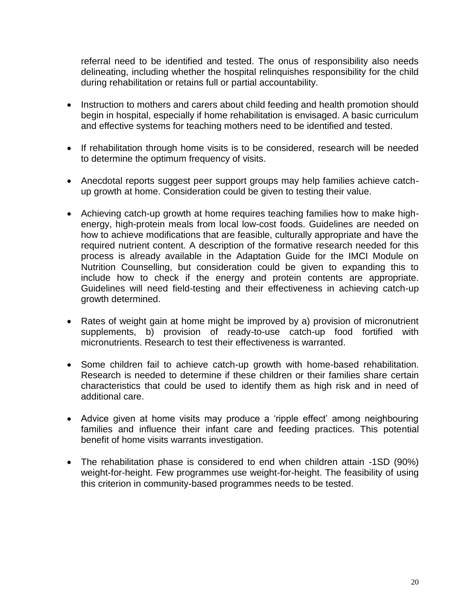referral need to be identified and tested. The onus of responsibility also needs delineating, including whether the hospital relinquishes responsibility for the child during rehabilitation or retains full or partial accountability.

- Instruction to mothers and carers about child feeding and health promotion should begin in hospital, especially if home rehabilitation is envisaged. A basic curriculum and effective systems for teaching mothers need to be identified and tested.
- If rehabilitation through home visits is to be considered, research will be needed to determine the optimum frequency of visits.
- Anecdotal reports suggest peer support groups may help families achieve catchup growth at home. Consideration could be given to testing their value.
- Achieving catch-up growth at home requires teaching families how to make highenergy, high-protein meals from local low-cost foods. Guidelines are needed on how to achieve modifications that are feasible, culturally appropriate and have the required nutrient content. A description of the formative research needed for this process is already available in the Adaptation Guide for the IMCI Module on Nutrition Counselling, but consideration could be given to expanding this to include how to check if the energy and protein contents are appropriate. Guidelines will need field-testing and their effectiveness in achieving catch-up growth determined.
- Rates of weight gain at home might be improved by a) provision of micronutrient supplements, b) provision of ready-to-use catch-up food fortified with micronutrients. Research to test their effectiveness is warranted.
- Some children fail to achieve catch-up growth with home-based rehabilitation. Research is needed to determine if these children or their families share certain characteristics that could be used to identify them as high risk and in need of additional care.
- Advice given at home visits may produce a 'ripple effect' among neighbouring families and influence their infant care and feeding practices. This potential benefit of home visits warrants investigation.
- The rehabilitation phase is considered to end when children attain -1SD (90%) weight-for-height. Few programmes use weight-for-height. The feasibility of using this criterion in community-based programmes needs to be tested.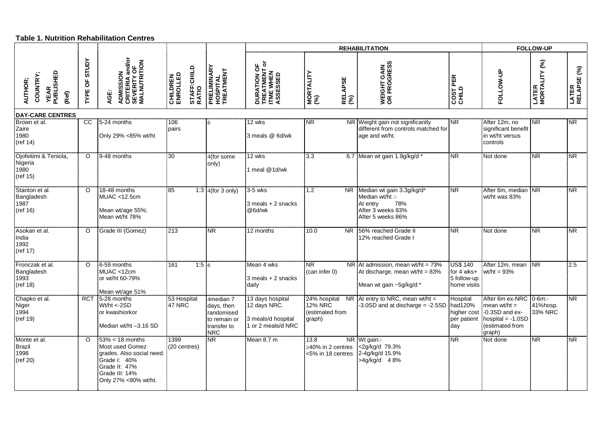#### **Table 1. Nutrition Rehabilitation Centres**

|                                                           |                    |                                                                                                                                               |                                                     |                                                                                    |                                                                              | <b>REHABILITATION</b>                                       |                                                                                                           |                                                               |                                                                                                                               | <b>FOLLOW-UP</b>       |                        |  |
|-----------------------------------------------------------|--------------------|-----------------------------------------------------------------------------------------------------------------------------------------------|-----------------------------------------------------|------------------------------------------------------------------------------------|------------------------------------------------------------------------------|-------------------------------------------------------------|-----------------------------------------------------------------------------------------------------------|---------------------------------------------------------------|-------------------------------------------------------------------------------------------------------------------------------|------------------------|------------------------|--|
| <b>YEAR<br/>PUBLISHED</b><br>COUNTRY;<br>AUTHOR;<br>(Ref) | STUDY<br>ხ<br>TYPE | <b>ADMISSION<br/>CRITERIA and/or<br/>SEVERITY OF<br/>MALNUTRITION</b><br>AGE:                                                                 | STAFF:CHILD<br>RATIO<br><b>CHILDREN</b><br>ENROLLED | PRELIMINARY<br>HOSPITAL<br>TREATMENT                                               | <b>DURATION OF<br/>TREATMENT or</b><br>ITME WHEN<br>ASSESSED                 | MORTALITY<br>(%)<br><b>RELAPSE</b><br>(%)                   | WEIGHT GAIN<br>OR PROGRESS                                                                                | COST PER<br>CHILD                                             | FOLLOW-UP                                                                                                                     | LATER<br>MORTALITY (%) | LATER<br>RELAPSE (%)   |  |
| <b>DAY-CARE CENTRES</b>                                   |                    |                                                                                                                                               |                                                     |                                                                                    |                                                                              |                                                             |                                                                                                           |                                                               |                                                                                                                               |                        |                        |  |
| Brown et al.<br>Zaire<br>1980<br>(ref 14)                 | CC                 | 5-24 months<br>Only 29% <85% wt/ht                                                                                                            | 106<br>pairs                                        | 6                                                                                  | 12 wks<br>3 meals @ 6d/wk                                                    | <b>NR</b>                                                   | NR Weight gain not significantly<br>different from controls matched for<br>age and wt/ht.                 | <b>NR</b>                                                     | After 12m, no<br>significant benefit<br>in wt/ht versus<br>controls                                                           | <b>NR</b>              | $\overline{\text{NR}}$ |  |
| Ojofeitimi & Teniola,<br>Nigeria<br>1980<br>(ref 15)      | $\circ$            | 9-48 months                                                                                                                                   | 30                                                  | 4(for some<br>only)                                                                | 12 wks<br>1 meal @1d/wk                                                      | 3.3                                                         | 6.7 Mean wt gain 1.9g/kg/d                                                                                | <b>NR</b>                                                     | Not done                                                                                                                      | <b>NR</b>              | <b>NR</b>              |  |
| Stanton et al.<br>Bangladesh<br>1987<br>(ref 16)          | $\circ$            | 18-48 months<br>MUAC <12.5cm<br>Mean wt/age 55%;<br>Mean wt/ht 78%                                                                            | 85                                                  | 1:3 $4$ (for 3 only)                                                               | $3-5$ wks<br>$3$ meals $+2$ snacks<br>@6d/wk                                 | 1.2<br>NR.                                                  | Median wt gain 3.3g/kg/d*<br>Median wt/ht :-<br>78%<br>At entry<br>After 3 weeks 83%<br>After 5 weeks 86% | <b>NR</b>                                                     | After 6m, median NR<br>wt/ht was 83%                                                                                          |                        | <b>NR</b>              |  |
| Asokan et al.<br>India<br>1992<br>(ref 17)                | $\circ$            | Grade III (Gomez)                                                                                                                             | 213                                                 | <b>NR</b>                                                                          | 12 months                                                                    | 10.0<br><b>NR</b>                                           | 56% reached Grade II<br>12% reached Grade I                                                               | <b>NR</b>                                                     | Not done                                                                                                                      | N <sub>R</sub>         | <b>NR</b>              |  |
| Fronczak et al.<br>Bangladesh<br>1993<br>(ref 18)         | $\Omega$           | 6-59 months<br>MUAC <12cm<br>or wt/ht 60-79%<br>Mean wt/age 51%                                                                               | $1:5$ 6<br>161                                      |                                                                                    | Mean 4 wks<br>3 meals + 2 snacks<br>daily                                    | NR.<br>(can infer 0)                                        | NR At admission, mean $wt/ht = 73%$<br>At discharge, mean wt/ht = 83%<br>Mean wt gain ~5g/kg/d *          | <b>US\$ 140</b><br>for $4$ wks+<br>5 follow-up<br>home visits | After 12m, mean NR<br>wt/ht = $93%$                                                                                           |                        | 2.5                    |  |
| Chapko et al.<br>Niger<br>1994<br>(ref 19)                | <b>RCT</b>         | 5-28 months<br>Wt/ht <- 2SD<br>or kwashiorkor<br>Median wt/ht -3.16 SD                                                                        | 53 Hospital<br>47 NRC                               | 4median 7<br>days, then<br>randomised<br>to remain or<br>transfer to<br><b>NRC</b> | 13 days hospital<br>12 days NRC.<br>3 meals/d hospital<br>1 or 2 meals/d NRC | 24% hospital<br><b>12% NRC</b><br>(estimated from<br>graph) | NR $At entry to NRC$ , mean wt/ht =<br>$-3.0SD$ and at discharge = $-2.5SD$                               | Hospital<br>had120%<br>per patient<br>day                     | After 6m ex-NRC 0-6m:-<br>mean $wt/ht =$<br>higher cost  -0.3SD and ex-<br>$ $ hospital = -1.0SD<br>(estimated from<br>graph) | 41%hosp.<br>33% NRC    | N <sub>R</sub>         |  |
| Monte et al.<br><b>Brazil</b><br>1998<br>(ref 20)         | $\circ$            | $53\% < 18$ months<br>Most used Gomez<br>grades. Also social need.<br>Grade I: 40%<br>Grade II: 47%<br>Grade III: 14%<br>Only 27% <80% wt/ht. | 1399<br>(20 centres)                                | N <sub>R</sub>                                                                     | Mean 8.7 m                                                                   | 13.8<br>$\geq$ 40% in 2 centres<br><5% in 18 centres        | NR Wt gain:-<br><2g/kg/d 79.3%<br>2-4g/kg/d 15.9%<br>>4g/kg/d 48%                                         | N <sub>R</sub>                                                | Not done                                                                                                                      | N <sub>R</sub>         | NR.                    |  |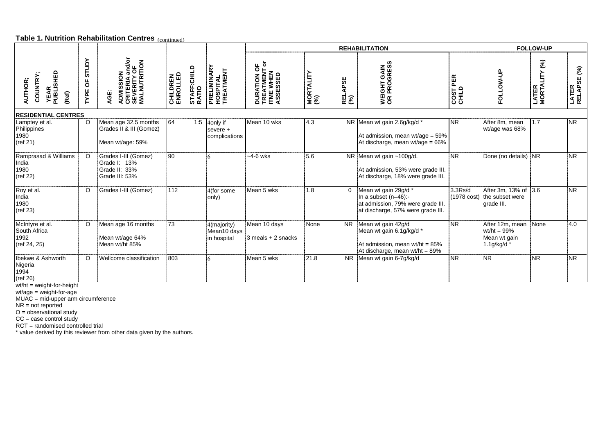#### **Table 1. Nutrition Rehabilitation Centres** (continued)

|                                                                 |                           |                                                                               |                             |                      |                                           |                                                                                         |                  |                       | <b>REHABILITATION</b>                                                                                                     |                    |                                                                     | <b>FOLLOW-UP</b>                    |                                   |
|-----------------------------------------------------------------|---------------------------|-------------------------------------------------------------------------------|-----------------------------|----------------------|-------------------------------------------|-----------------------------------------------------------------------------------------|------------------|-----------------------|---------------------------------------------------------------------------------------------------------------------------|--------------------|---------------------------------------------------------------------|-------------------------------------|-----------------------------------|
| <b>YEAR<br/>PUBLISHED</b><br><b>COUNTRY</b><br>AUTHOR;<br>(Ref) | <b>STUDY</b><br>ზ<br>TYPE | <b>ADMISSION<br/>CRITERIA and/or<br/>SEVERITY OF<br/>MALNUTRITION</b><br>AGE: | <b>CHILDREN</b><br>ENROLLED | STAFF:CHILD<br>RATIO | PRELIMINARY<br>HOSPITAL<br>TREATMENT      | ō<br>$\overline{\sigma}$<br><b>DURATION OF<br/>TREATMENT<br/>ITME WHEN<br/>ASSESSED</b> | MORTALITY<br>(%) | <b>RELAPSE</b><br>(%) | <b>GAIN<br/>GRESS</b><br>WEIGHT<br>OR PROC                                                                                | PER<br>$rac{1}{2}$ | ₿<br>š<br><u>S</u>                                                  | $\mathcal{E}$<br>LATER<br>MORTALITY | $\mathcal{E}$<br>LATER<br>RELAPSE |
| <b>RESIDENTIAL CENTRES</b>                                      |                           |                                                                               |                             |                      |                                           |                                                                                         |                  |                       |                                                                                                                           |                    |                                                                     |                                     |                                   |
| Lamptey et al.<br>Philippines<br>1980<br>ref 21)                | $\circ$                   | Mean age 32.5 months<br>Grades II & III (Gomez)<br>Mean wt/age: 59%           | 64                          | 1:5                  | 4only if<br>severe +<br>complications     | Mean 10 wks                                                                             | 4.3              |                       | NR Mean wt gain 2.6g/kg/d *<br>At admission, mean $wt/age = 59\%$<br>At discharge, mean wt/age = $66\%$                   | <b>NR</b>          | After 8m, mean<br>wt/age was 68%                                    | 1.7                                 | $\overline{\text{NR}}$            |
| Ramprasad & Williams<br>India<br>1980<br>(ref 22)               | $\Omega$                  | Grades I-III (Gomez)<br>Grade I: 13%<br>Grade II: 33%<br>Grade III: 53%       | 90                          |                      |                                           | $-4-6$ wks                                                                              | 5.6              |                       | NR Mean wt gain ~100g/d.<br>At admission, 53% were grade III.<br>At discharge, 18% were grade III.                        | NR.                | Done (no details) NR                                                |                                     | $\overline{\text{NR}}$            |
| Roy et al.<br>India<br>1980<br>(ref 23)                         | O                         | Grades I-III (Gomez)                                                          | 112                         |                      | 4(for some<br>only)                       | Mean 5 wks                                                                              | 1.8              | $\Omega$              | Mean wt gain 29g/d *<br>In a subset $(n=46)$ :-<br>at admission, 79% were grade III.<br>at discharge, 57% were grade III. | 3.3Rs/d            | After 3m, 13% of 3.6<br>(1978 cost) the subset were<br>grade III.   |                                     | <b>NR</b>                         |
| McIntyre et al.<br>South Africa<br>1992<br>(ref 24, 25)         | $\circ$                   | Mean age 16 months<br>Mean wt/age 64%<br>Mean wt/ht 85%                       | 73                          |                      | 4(majority)<br>Mean10 days<br>in hospital | Mean 10 days<br>$3$ meals $+2$ snacks                                                   | None             | <b>NR</b>             | Mean wt gain 42g/d<br>Mean wt gain 6.1g/kg/d *<br>At admission, mean $wt/ht = 85%$<br>At discharge, mean wt/ht = 89%      | N <sub>R</sub>     | After 12m, mean<br>wt/ht = $99\%$<br>Mean wt gain<br>$1.1$ g/kg/d * | None                                | 4.0                               |
| Ibekwe & Ashworth<br>Nigeria<br>1994<br>(ref 26)                | $\circ$                   | Wellcome classification                                                       | 803                         |                      |                                           | Mean 5 wks                                                                              | 21.8             |                       | NR Mean wt gain 6-7g/kg/d                                                                                                 | <b>NR</b>          | N <sub>R</sub>                                                      | <b>NR</b>                           | <b>NR</b>                         |

wt/ht = weight-for-height

wt/age = weight-for-age

MUAC = mid-upper arm circumference

NR = not reported

O = observational study

CC = case control study

RCT = randomised controlled trial

\* value derived by this reviewer from other data given by the authors.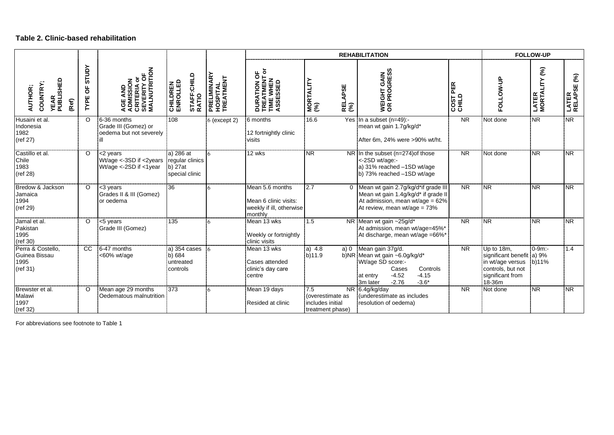#### **Table 2. Clinic-based rehabilitation**

|                                                           |                    |                                                                             |                                                             |                                               |                                                                                 | <b>REHABILITATION</b>                                           | <b>FOLLOW-UP</b>                                                                                                                                                |                   |                                                                                                                |                                       |                      |
|-----------------------------------------------------------|--------------------|-----------------------------------------------------------------------------|-------------------------------------------------------------|-----------------------------------------------|---------------------------------------------------------------------------------|-----------------------------------------------------------------|-----------------------------------------------------------------------------------------------------------------------------------------------------------------|-------------------|----------------------------------------------------------------------------------------------------------------|---------------------------------------|----------------------|
| <b>YEAR<br/>PUBLISHED</b><br>COUNTRY;<br>AUTHOR;<br>(Ref) | STUDY<br>ზ<br>TYPE | <b>AGE AND<br/>ADMISSION<br/>CRITERIA or</b><br>SEVERITY OF<br>MALNUTRITION | STAFF:CHILD<br>RATIO<br><b>CHILDREN</b><br>ENROLLED         | <b>PRELIMINARY<br/>HOSPITAL<br/>TREATMENT</b> | <b>DURATION OF<br/>TREATMENT or</b><br>TIME WHEN<br>ASSESSED                    | MORTALITY<br>(%)<br><b>RELAPSE</b><br>(%)                       | WEIGHT GAIN<br>OR PROGRESS                                                                                                                                      | COST PER<br>CHILD | FOLLOW-UP                                                                                                      | $\mathcal{E}$<br>LATER<br>MORTALITY ( | LATER<br>RELAPSE (%) |
| Husaini et al.<br>Indonesia<br>1982<br>(ref 27)           | $\Omega$           | 6-36 months<br>Grade III (Gomez) or<br>oedema but not severely              | 108                                                         | 6 (except 2)                                  | 6 months<br>12 fortnightly clinic<br>visits                                     | 16.6                                                            | Yes In a subset (n=49):-<br>mean wt gain 1.7g/kg/d*<br>After 6m, 24% were >90% wt/ht.                                                                           | <b>NR</b>         | Not done                                                                                                       | N <sub>R</sub>                        | <b>NR</b>            |
| Castillo et al.<br>Chile<br>1983<br>(ref 28)              | $\circ$            | <2 years<br>Wt/age <-3SD if <2years<br>Wt/age <-2SD if <1year               | a) 286 at<br>regular clinics<br>$b)$ 27at<br>special clinic |                                               | 12 wks                                                                          | <b>NR</b>                                                       | NR In the subset (n=274) of those<br><-2SD wt/age:-<br>a) 31% reached -1SD wt/age<br>b) 73% reached -1SD wt/age                                                 | <b>NR</b>         | Not done                                                                                                       | <b>NR</b>                             | <b>NR</b>            |
| Bredow & Jackson<br>Jamaica<br>1994<br>(ref 29)           | $\Omega$           | <3 years<br>Grades II & III (Gomez)<br>lor oedema                           | 36                                                          |                                               | Mean 5.6 months<br>Mean 6 clinic visits:<br>weekly if ill, otherwise<br>monthly | 2.7                                                             | 0 Mean wt gain 2.7g/kg/d*if grade III<br>Mean wt gain 1.4g/kg/d* if grade II<br>At admission, mean wt/age = $62\%$<br>At review, mean wt/age = 73%              | <b>NR</b>         | <b>NR</b>                                                                                                      | $\overline{\text{NR}}$                | <b>INR</b>           |
| Jamal et al.<br>Pakistan<br>1995<br>(ref 30)              | $\circ$            | <5 years<br>Grade III (Gomez)                                               | 135                                                         | 6                                             | Mean 13 wks<br>Weekly or fortnightly<br>clinic visits                           | 1.5                                                             | NR Mean wt gain ~25g/d*<br>At admission, mean wt/age=45%*<br>At discharge, mean wt/age =66%*                                                                    | <b>NR</b>         | N <sub>R</sub>                                                                                                 | $\overline{\text{NR}}$                | <b>NR</b>            |
| Perra & Costello,<br>Guinea Bissau<br>1995<br>(ref 31)    | CC.                | 6-47 months<br><60% wt/age                                                  | a) 354 cases<br>b) 684<br>untreated<br>controls             | 6                                             | Mean 13 wks<br>Cases attended<br>clinic's day care<br>centre                    | a) 4.8<br>a)0<br>b)11.9                                         | Mean gain 37g/d.<br>b)NR Mean wt gain ~6.0g/kg/d*<br>Wt/age SD score:-<br>Controls<br>Cases<br>$-4.52$<br>$-4.15$<br>at entry<br>$-2.76$<br>$-3.6*$<br>3m later | <b>NR</b>         | Up to 18m,<br>significant benefit a) 9%<br>in wt/age versus<br>controls, but not<br>significant from<br>18-36m | $0 - 9m$ :<br>b)11%                   | 1.4                  |
| Brewster et al.<br>Malawi<br>1997<br>(ref 32)             | $\circ$            | Mean age 29 months<br>Oedematous malnutrition                               | 373                                                         | 6                                             | Mean 19 days<br>Resided at clinic                                               | 7.5<br>(overestimate as<br>includes initial<br>treatment phase) | NR 6.4g/kg/day<br>underestimate as includes<br>resolution of oedema)                                                                                            | <b>NR</b>         | Not done                                                                                                       | NR.                                   | <b>NR</b>            |

For abbreviations see footnote to Table 1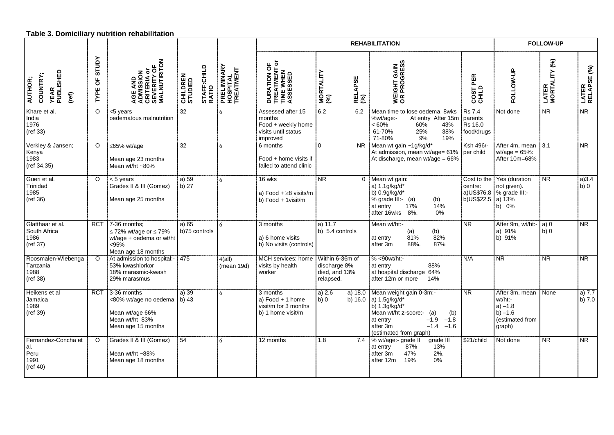|                                                           |                    |                                                                                                              |                                             |                                      |                                                                                      | <b>FOLLOW-UP</b>                                              |                                                                                                                                                                                                        |                                                   |                                                                                  |                        |                          |
|-----------------------------------------------------------|--------------------|--------------------------------------------------------------------------------------------------------------|---------------------------------------------|--------------------------------------|--------------------------------------------------------------------------------------|---------------------------------------------------------------|--------------------------------------------------------------------------------------------------------------------------------------------------------------------------------------------------------|---------------------------------------------------|----------------------------------------------------------------------------------|------------------------|--------------------------|
| <b>YEAR<br/>PUBLISHED</b><br>COUNTRY;<br>AUTHOR;<br>(ref) | STUDY<br>ზ<br>TYPE | <b>AGE AND<br/>ADMISSION<br/>CRITERIA or</b><br>SEVERITY OF<br>MALNUTIRITON                                  | STAFF:CHILD<br>RATIO<br>CHILDREN<br>STUDIED | PRELIMINARY<br>HOSPITAL<br>TREATMENT | ᄔᅙ<br><b>DURATION OF<br/>TREATMENT o</b><br>TIME WHEN<br>ASSESSED                    | MORTALITY<br>(%)<br><b>RELAPSE</b><br>(%)                     | WEIGHT GAIN<br>OR PROGRESS                                                                                                                                                                             | COST PER<br>CHILD                                 | FOLLOW-UP                                                                        | LATER<br>MORTALITY (%) | LATER<br>RELAPSE (%)     |
| Khare et al.<br>India<br>1976<br>(ref 33)                 | $\circ$            | <5 years<br>oedematous malnutrition                                                                          | 32                                          | 6                                    | Assessed after 15<br>months<br>Food + weekly home<br>visits until status<br>improved | 6.2<br>6.2                                                    | Mean time to lose oedema 8wks<br>%wt/age:-<br>At entry After 15m<br>$<60\%$<br>60%<br>43%<br>61-70%<br>25%<br>38%<br>71-80%<br>9%<br>19%                                                               | <b>Rs 7.4</b><br>parents<br>Rs 16.0<br>food/drugs | Not done                                                                         | <b>NR</b>              | N <sub>R</sub>           |
| Verkley & Jansen;<br>Kenya<br>1983<br>(ref 34,35)         | $\circ$            | $\leq$ 65% wt/age<br>Mean age 23 months<br>Mean wt/ht ~80%                                                   | 32                                          | 6                                    | 6 months<br>Food + home visits if<br>failed to attend clinic                         | $\Omega$<br>NR.                                               | Mean wt gain ~1g/kg/d*<br>At admission, mean wt/age= 61% per child<br>At discharge, mean wt/age = 66%                                                                                                  | Ksh 496/-                                         | After 4m, mean<br>wt/age = $65\%$ :<br>After 10m=68%                             | $-3.1$                 | <b>NR</b>                |
| Gueri et al.<br>Trinidad<br>1985<br>(ref 36)              | $\circ$            | $< 5$ years<br>Grades II & III (Gomez)<br>Mean age 25 months                                                 | a) 59<br>b) 27                              | 6                                    | 16 wks<br>a) Food $+ \geq 8$ visits/m<br>b) Food + 1visit/m                          | <b>NR</b>                                                     | 0 Mean wt gain:<br>a) 1.1g/kg/d*<br>b) 0.9g/kg/d*<br>(b)<br>% grade III:- (a)<br>17%<br>14%<br>at entry<br>after 16wks 8%.<br>0%                                                                       | Cost to the<br>centre:<br>b)US\$22.5 a) 13%       | Yes (duration<br>not given).<br>a) US\$76.8 $\frac{1}{2}$ % grade III:-<br>b) 0% | <b>NR</b>              | a)3.4<br>b) 0            |
| Glatthaar et al.<br>South Africa<br>1986<br>(ref 37)      | <b>RCT</b>         | $7-36$ months;<br>$\leq$ 72% wt/age or $\leq$ 79%<br>wt/age + oedema or wt/ht<br>< 95%<br>Mean age 18 months | a) 65<br>b)75 controls                      | 6                                    | 3 months<br>a) 6 home visits<br>b) No visits (controls)                              | a) $11.7$<br>b) 5.4 controls                                  | Mean wt/ht:-<br>(b)<br>(a)<br>81%<br>82%<br>at entry<br>88%.<br>87%<br>after 3m                                                                                                                        | $\overline{\mathsf{NR}}$                          | After 9m, wt/ht:-<br>a) 91%<br>b) 91%                                            | a)0<br>b)0             | $\overline{\mathsf{NR}}$ |
| Roosmalen-Wiebenga<br>Tanzania<br>1988<br>(ref 38)        | $\Omega$           | At admission to hospital:   475<br>53% kwashiorkor<br>18% marasmic-kwash<br>29% marasmus                     |                                             | $4$ (all)<br>(mean 19d)              | MCH services: home<br>visits by health<br>worker                                     | Within 6-36m of<br>discharge 8%<br>died, and 13%<br>relapsed. | $% < 90$ wt/ht:-<br>88%<br>at entry<br>at hospital discharge 64%<br>after 12m or more<br>14%                                                                                                           | N/A                                               | <b>NR</b>                                                                        | $\overline{\text{NR}}$ | NR                       |
| Heikens et al<br>Jamaica<br>1989<br>(ref 39)              | <b>RCT</b>         | 3-36 months<br><80% wt/age no oedema<br>Mean wt/age 66%<br>Mean wt/ht 83%<br>Mean age 15 months              | a) 39<br>b) $43$                            | 6                                    | 3 months<br>a) Food + 1 home<br>visit/m for 3 months<br>b) 1 home visit/m            | a) $2.6$<br>a) $18.0$<br>b)0                                  | Mean weight gain 0-3m:-<br>b) $16.0$ a) $1.5$ g/kg/d*<br>b) 1.3g/kg/d*<br>Mean wt/ht z-score:-<br>(a)<br>(b)<br>$-1.9$<br>$-1.8$<br>at entry<br>after 3m<br>$-1.4$<br>$-1.6$<br>(estimated from graph) | $\overline{\mathsf{NR}}$                          | After 3m, mean<br>wt/ht:-<br>$a) -1.8$<br>$b) -1.6$<br>(estimated from<br>graph) | None                   | a) $7.7$<br>$b)$ 7.0     |
| Fernandez-Concha et<br>al.<br>Peru<br>1991<br>(ref 40)    | $\circ$            | Grades II & III (Gomez)<br>Mean wt/ht ~88%<br>Mean age 18 months                                             | 54                                          | 6                                    | 12 months                                                                            | 1.8<br>7.4                                                    | % wt/age:- grade II<br>grade III<br>13%<br>87%<br>at entry<br>47%<br>after 3m<br>2%.<br>19%<br>0%<br>after 12m                                                                                         | \$21/child                                        | Not done                                                                         | N <sub>R</sub>         | $\overline{\text{NR}}$   |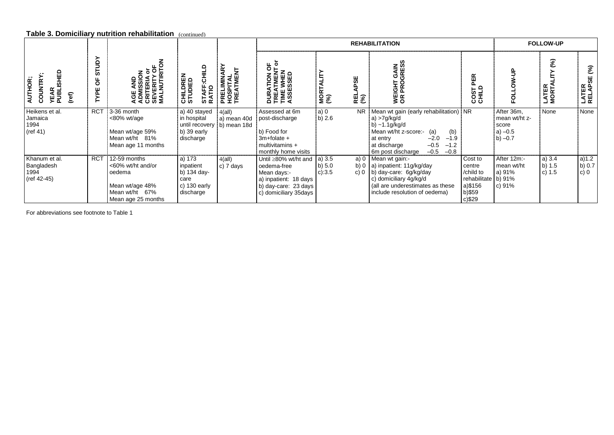#### **Table 3. Domiciliary nutrition rehabilitation** (continued)

|                                                                |                   |                                                                                                        |                                                                           |                                                          | <b>REHABILITATION</b>                                                                                                        |                                |            |                                                                                                                                                                                                                                   |                                                                                         | <b>FOLLOW-UP</b>                                               |                              |                                       |
|----------------------------------------------------------------|-------------------|--------------------------------------------------------------------------------------------------------|---------------------------------------------------------------------------|----------------------------------------------------------|------------------------------------------------------------------------------------------------------------------------------|--------------------------------|------------|-----------------------------------------------------------------------------------------------------------------------------------------------------------------------------------------------------------------------------------|-----------------------------------------------------------------------------------------|----------------------------------------------------------------|------------------------------|---------------------------------------|
| 显<br>COUNTRY<br>AUTHOR;<br>ທ<br><b>YEAR</b><br>PUBLIS<br>(ref) | STUDY<br>ხ<br>YPE | る<br>$\frac{1}{2}$<br>১<br><b>AGE AND<br/>ADMISSION<br/>CRITERIA (<br/>SEVERITY<br/>MALNUTIR</b>       | ≏<br>CHILDREN<br>STUDIED<br>$\overline{\mathbf{o}}$<br>STAFF.<br>RATIO    | PRELIMINARY<br>HOSPITAL<br>TREATMENT                     | 유흥<br><b>LIDN<br/>LIMENI<br/>VAHEN<br/>SSED</b><br><b>DURA<br/>TREA<br/>TIME<br/>ASSE:</b>                                   | <b>MORTALIT</b><br>(%)         | မ္ဟ<br>면 S | <b>GAIN</b><br>GRESS<br><b>GHT</b><br>PRO<br>VEI<br>OR                                                                                                                                                                            | PER<br>오도<br>180<br>ōσ                                                                  | 훈                                                              | જ્<br><b>LATER<br/>MORTA</b> | $\mathcal{E}$<br>₩<br>LATER<br>RELAPS |
| Heikens et al.<br>Jamaica<br>1994<br>(ref 41)                  | <b>RCT</b>        | 3-36 month<br>$<80\%$ wt/age<br>Mean wt/age 59%<br>Mean wt/ht 81%<br>Mean age 11 months                | a) 40 stayed<br>in hospital<br>b) 39 early<br>discharge                   | $4$ (all)<br>a) mean 40d<br>until recovery   b) mean 18d | Assessed at 6m<br>post-discharge<br>b) Food for<br>$3m+fo$ ate +<br>multivitamins $+$<br>monthly home visits                 | a 0<br>b) $2.6$                | <b>NR</b>  | Mean wt gain (early rehabilitation) NR<br>a) $>7g/kg/d$<br>b) $\sim$ 1.1g/kg/d<br>Mean wt/ht z-score:-<br>(b)<br>(a)<br>$-2.0$<br>$-1.9$<br>at entry<br>$-0.5$<br>$-1.2$<br>at discharge<br>$-0.5$<br>$-0.8$<br>6m post discharge |                                                                                         | After 36m,<br>mean wt/ht z-<br>score<br>a) $-0.5$<br>b) $-0.7$ | None                         | None                                  |
| Khanum et al.<br>Bangladesh<br>1994<br>(ref 42-45)             | <b>RCT</b>        | 12-59 months<br><60% wt/ht and/or<br>oedema<br>Mean wt/age 48%<br>Mean wt/ht 67%<br>Mean age 25 months | a) 173<br>inpatient<br>b) 134 day-<br>care<br>c) $130$ early<br>discharge | $4$ (all)<br>c) 7 days                                   | Until ≥80% wt/ht and<br>oedema-free<br>Mean days:-<br>a) inpatient: 18 days<br>b) day-care: 23 days<br>c) domiciliary 35days | a) 3.5<br>b) $5.0$<br>$c$ :3.5 | c)0        | $\overline{a}$ ) 0 Mean wt gain:<br>b) 0   a) inpatient: $11g/kg/day$<br>b) day-care: 6g/kg/day<br>c) domiciliary 4g/kg/d<br>(all are underestimates as these<br>include resolution of oedema)                                    | Cost to<br>centre<br>/child to<br>rehabilitate b) 91%<br>a)\$156<br>b)\$59<br>$c$ )\$29 | After 12m:-<br>mean wt/ht<br>a) 91%<br>c) $91%$                | a) 3.4<br>b) $1.5$<br>c) 1.5 | a)1.2<br>b) 0.7<br>$c)$ 0             |

For abbreviations see footnote to Table 1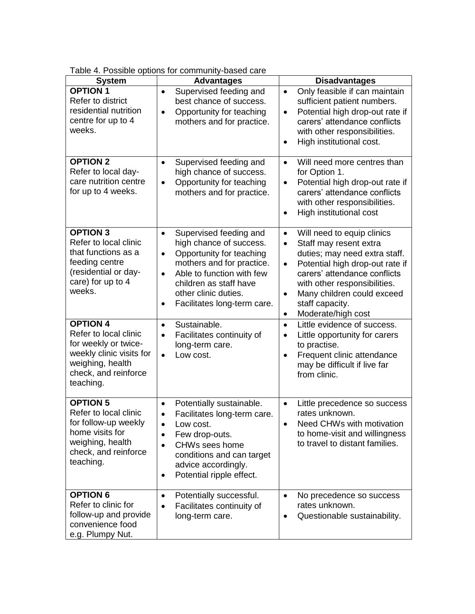|                                                                                                                                                       | 1. I cooldid optional for community bacca card                                                                                                                                                                                                                       |                                                                                                                                                                                                                                                                                                                                  |
|-------------------------------------------------------------------------------------------------------------------------------------------------------|----------------------------------------------------------------------------------------------------------------------------------------------------------------------------------------------------------------------------------------------------------------------|----------------------------------------------------------------------------------------------------------------------------------------------------------------------------------------------------------------------------------------------------------------------------------------------------------------------------------|
| <b>System</b>                                                                                                                                         | <b>Advantages</b>                                                                                                                                                                                                                                                    | <b>Disadvantages</b>                                                                                                                                                                                                                                                                                                             |
| <b>OPTION 1</b><br>Refer to district<br>residential nutrition<br>centre for up to 4<br>weeks.                                                         | Supervised feeding and<br>$\bullet$<br>best chance of success.<br>Opportunity for teaching<br>$\bullet$<br>mothers and for practice.                                                                                                                                 | Only feasible if can maintain<br>$\bullet$<br>sufficient patient numbers.<br>Potential high drop-out rate if<br>$\bullet$<br>carers' attendance conflicts<br>with other responsibilities.<br>High institutional cost.<br>$\bullet$                                                                                               |
| <b>OPTION 2</b><br>Refer to local day-<br>care nutrition centre<br>for up to 4 weeks.                                                                 | Supervised feeding and<br>$\bullet$<br>high chance of success.<br>Opportunity for teaching<br>$\bullet$<br>mothers and for practice.                                                                                                                                 | Will need more centres than<br>$\bullet$<br>for Option 1.<br>Potential high drop-out rate if<br>$\bullet$<br>carers' attendance conflicts<br>with other responsibilities.<br>High institutional cost                                                                                                                             |
| <b>OPTION 3</b><br>Refer to local clinic<br>that functions as a<br>feeding centre<br>(residential or day-<br>care) for up to 4<br>weeks.              | Supervised feeding and<br>٠<br>high chance of success.<br>Opportunity for teaching<br>$\bullet$<br>mothers and for practice.<br>Able to function with few<br>$\bullet$<br>children as staff have<br>other clinic duties.<br>Facilitates long-term care.<br>$\bullet$ | Will need to equip clinics<br>$\bullet$<br>Staff may resent extra<br>$\bullet$<br>duties; may need extra staff.<br>Potential high drop-out rate if<br>$\bullet$<br>carers' attendance conflicts<br>with other responsibilities.<br>Many children could exceed<br>$\bullet$<br>staff capacity.<br>Moderate/high cost<br>$\bullet$ |
| <b>OPTION 4</b><br>Refer to local clinic<br>for weekly or twice-<br>weekly clinic visits for<br>weighing, health<br>check, and reinforce<br>teaching. | Sustainable.<br>$\bullet$<br>Facilitates continuity of<br>$\bullet$<br>long-term care.<br>Low cost.<br>$\bullet$                                                                                                                                                     | Little evidence of success.<br>$\bullet$<br>Little opportunity for carers<br>$\bullet$<br>to practise.<br>Frequent clinic attendance<br>$\bullet$<br>may be difficult if live far<br>from clinic.                                                                                                                                |
| <b>OPTION 5</b><br>Refer to local clinic<br>for follow-up weekly<br>home visits for<br>weighing, health<br>check, and reinforce<br>teaching.          | Potentially sustainable.<br>$\bullet$<br>Facilitates long-term care.<br>$\bullet$<br>Low cost.<br>$\bullet$<br>Few drop-outs.<br>CHWs sees home<br>conditions and can target<br>advice accordingly.<br>Potential ripple effect.<br>$\bullet$                         | Little precedence so success<br>$\bullet$<br>rates unknown.<br>Need CHWs with motivation<br>$\bullet$<br>to home-visit and willingness<br>to travel to distant families.                                                                                                                                                         |
| <b>OPTION 6</b><br>Refer to clinic for<br>follow-up and provide<br>convenience food<br>e.g. Plumpy Nut.                                               | Potentially successful.<br>$\bullet$<br>Facilitates continuity of<br>$\bullet$<br>long-term care.                                                                                                                                                                    | No precedence so success<br>$\bullet$<br>rates unknown.<br>Questionable sustainability.<br>$\bullet$                                                                                                                                                                                                                             |

Table 4. Possible options for community-based care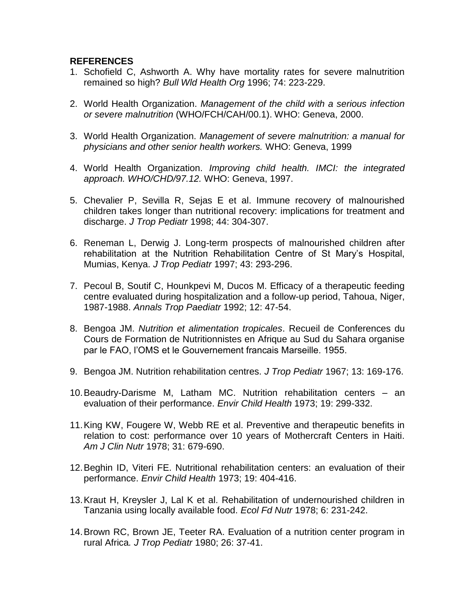#### **REFERENCES**

- 1. Schofield C, Ashworth A. Why have mortality rates for severe malnutrition remained so high? *Bull Wld Health Org* 1996; 74: 223-229.
- 2. World Health Organization. *Management of the child with a serious infection or severe malnutrition* (WHO/FCH/CAH/00.1). WHO: Geneva, 2000.
- 3. World Health Organization. *Management of severe malnutrition: a manual for physicians and other senior health workers.* WHO: Geneva, 1999
- 4. World Health Organization. *Improving child health. IMCI: the integrated approach. WHO/CHD/97.12.* WHO: Geneva, 1997.
- 5. Chevalier P, Sevilla R, Sejas E et al. Immune recovery of malnourished children takes longer than nutritional recovery: implications for treatment and discharge. *J Trop Pediatr* 1998; 44: 304-307.
- 6. Reneman L, Derwig J. Long-term prospects of malnourished children after rehabilitation at the Nutrition Rehabilitation Centre of St Mary's Hospital, Mumias, Kenya. *J Trop Pediatr* 1997; 43: 293-296.
- 7. Pecoul B, Soutif C, Hounkpevi M, Ducos M. Efficacy of a therapeutic feeding centre evaluated during hospitalization and a follow-up period, Tahoua, Niger, 1987-1988. *Annals Trop Paediatr* 1992; 12: 47-54.
- 8. Bengoa JM. *Nutrition et alimentation tropicales*. Recueil de Conferences du Cours de Formation de Nutritionnistes en Afrique au Sud du Sahara organise par le FAO, l'OMS et le Gouvernement francais Marseille. 1955.
- 9. Bengoa JM. Nutrition rehabilitation centres. *J Trop Pediatr* 1967; 13: 169-176.
- 10.Beaudry-Darisme M, Latham MC. Nutrition rehabilitation centers an evaluation of their performance. *Envir Child Health* 1973; 19: 299-332.
- 11.King KW, Fougere W, Webb RE et al. Preventive and therapeutic benefits in relation to cost: performance over 10 years of Mothercraft Centers in Haiti. *Am J Clin Nutr* 1978; 31: 679-690.
- 12.Beghin ID, Viteri FE. Nutritional rehabilitation centers: an evaluation of their performance. *Envir Child Health* 1973; 19: 404-416.
- 13.Kraut H, Kreysler J, Lal K et al. Rehabilitation of undernourished children in Tanzania using locally available food. *Ecol Fd Nutr* 1978; 6: 231-242.
- 14.Brown RC, Brown JE, Teeter RA. Evaluation of a nutrition center program in rural Africa*. J Trop Pediatr* 1980; 26: 37-41.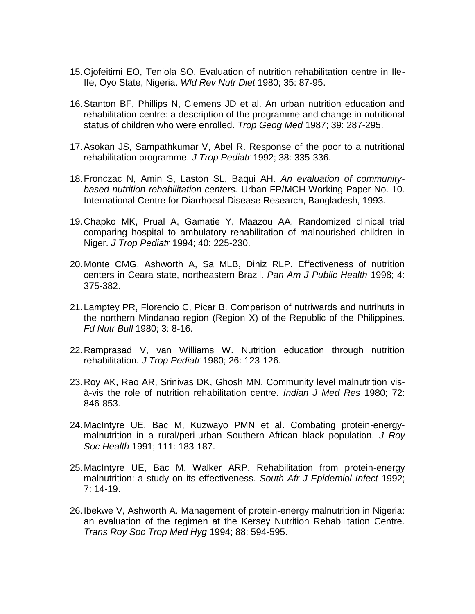- 15.Ojofeitimi EO, Teniola SO. Evaluation of nutrition rehabilitation centre in Ile-Ife, Oyo State, Nigeria. *Wld Rev Nutr Diet* 1980; 35: 87-95.
- 16.Stanton BF, Phillips N, Clemens JD et al. An urban nutrition education and rehabilitation centre: a description of the programme and change in nutritional status of children who were enrolled. *Trop Geog Med* 1987; 39: 287-295.
- 17.Asokan JS, Sampathkumar V, Abel R. Response of the poor to a nutritional rehabilitation programme. *J Trop Pediatr* 1992; 38: 335-336.
- 18.Fronczac N, Amin S, Laston SL, Baqui AH. *An evaluation of communitybased nutrition rehabilitation centers.* Urban FP/MCH Working Paper No. 10. International Centre for Diarrhoeal Disease Research, Bangladesh, 1993.
- 19.Chapko MK, Prual A, Gamatie Y, Maazou AA. Randomized clinical trial comparing hospital to ambulatory rehabilitation of malnourished children in Niger. *J Trop Pediatr* 1994; 40: 225-230.
- 20.Monte CMG, Ashworth A, Sa MLB, Diniz RLP. Effectiveness of nutrition centers in Ceara state, northeastern Brazil. *Pan Am J Public Health* 1998; 4: 375-382.
- 21.Lamptey PR, Florencio C, Picar B. Comparison of nutriwards and nutrihuts in the northern Mindanao region (Region X) of the Republic of the Philippines. *Fd Nutr Bull* 1980; 3: 8-16.
- 22.Ramprasad V, van Williams W. Nutrition education through nutrition rehabilitation*. J Trop Pediatr* 1980; 26: 123-126.
- 23.Roy AK, Rao AR, Srinivas DK, Ghosh MN. Community level malnutrition visà-vis the role of nutrition rehabilitation centre. *Indian J Med Res* 1980; 72: 846-853.
- 24.MacIntyre UE, Bac M, Kuzwayo PMN et al. Combating protein-energymalnutrition in a rural/peri-urban Southern African black population. *J Roy Soc Health* 1991; 111: 183-187.
- 25.MacIntyre UE, Bac M, Walker ARP. Rehabilitation from protein-energy malnutrition: a study on its effectiveness. *South Afr J Epidemiol Infect* 1992; 7: 14-19.
- 26.Ibekwe V, Ashworth A. Management of protein-energy malnutrition in Nigeria: an evaluation of the regimen at the Kersey Nutrition Rehabilitation Centre. *Trans Roy Soc Trop Med Hyg* 1994; 88: 594-595.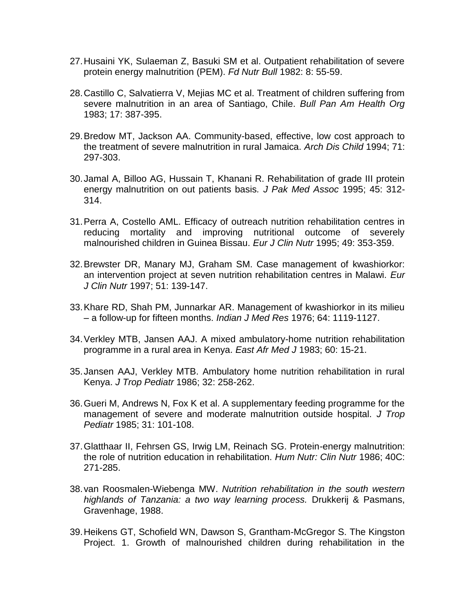- 27.Husaini YK, Sulaeman Z, Basuki SM et al. Outpatient rehabilitation of severe protein energy malnutrition (PEM). *Fd Nutr Bull* 1982: 8: 55-59.
- 28.Castillo C, Salvatierra V, Mejias MC et al. Treatment of children suffering from severe malnutrition in an area of Santiago, Chile. *Bull Pan Am Health Org* 1983; 17: 387-395.
- 29.Bredow MT, Jackson AA. Community-based, effective, low cost approach to the treatment of severe malnutrition in rural Jamaica. *Arch Dis Child* 1994; 71: 297-303.
- 30.Jamal A, Billoo AG, Hussain T, Khanani R. Rehabilitation of grade III protein energy malnutrition on out patients basis*. J Pak Med Assoc* 1995; 45: 312- 314.
- 31.Perra A, Costello AML. Efficacy of outreach nutrition rehabilitation centres in reducing mortality and improving nutritional outcome of severely malnourished children in Guinea Bissau. *Eur J Clin Nutr* 1995; 49: 353-359.
- 32.Brewster DR, Manary MJ, Graham SM. Case management of kwashiorkor: an intervention project at seven nutrition rehabilitation centres in Malawi. *Eur J Clin Nutr* 1997; 51: 139-147.
- 33.Khare RD, Shah PM, Junnarkar AR. Management of kwashiorkor in its milieu – a follow-up for fifteen months. *Indian J Med Res* 1976; 64: 1119-1127.
- 34.Verkley MTB, Jansen AAJ. A mixed ambulatory-home nutrition rehabilitation programme in a rural area in Kenya. *East Afr Med J* 1983; 60: 15-21.
- 35.Jansen AAJ, Verkley MTB. Ambulatory home nutrition rehabilitation in rural Kenya. *J Trop Pediatr* 1986; 32: 258-262.
- 36.Gueri M, Andrews N, Fox K et al. A supplementary feeding programme for the management of severe and moderate malnutrition outside hospital. *J Trop Pediatr* 1985; 31: 101-108.
- 37.Glatthaar II, Fehrsen GS, Irwig LM, Reinach SG. Protein-energy malnutrition: the role of nutrition education in rehabilitation. *Hum Nutr: Clin Nutr* 1986; 40C: 271-285.
- 38.van Roosmalen-Wiebenga MW. *Nutrition rehabilitation in the south western highlands of Tanzania: a two way learning process.* Drukkerij & Pasmans, Gravenhage, 1988.
- 39.Heikens GT, Schofield WN, Dawson S, Grantham-McGregor S. The Kingston Project. 1. Growth of malnourished children during rehabilitation in the